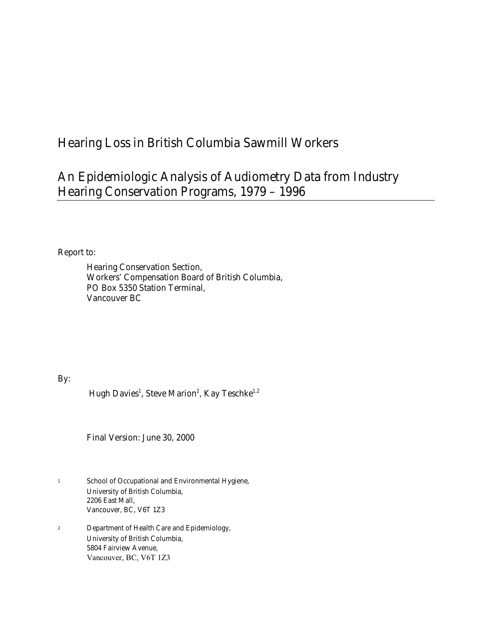# Hearing Loss in British Columbia Sawmill Workers

# An Epidemiologic Analysis of Audiometry Data from Industry Hearing Conservation Programs, 1979 – 1996

Report to:

 Hearing Conservation Section, Workers' Compensation Board of British Columbia, PO Box 5350 Station Terminal, Vancouver BC

By:

Hugh Davies<sup>1</sup>, Steve Marion<sup>2</sup>, Kay Teschke<sup>1,2</sup>

Final Version: June 30, 2000

- 1 School of Occupational and Environmental Hygiene, University of British Columbia, 2206 East Mall, Vancouver, BC, V6T 1Z3
- 2 Department of Health Care and Epidemiology, University of British Columbia, 5804 Fairview Avenue, Vancouver, BC, V6T 1Z3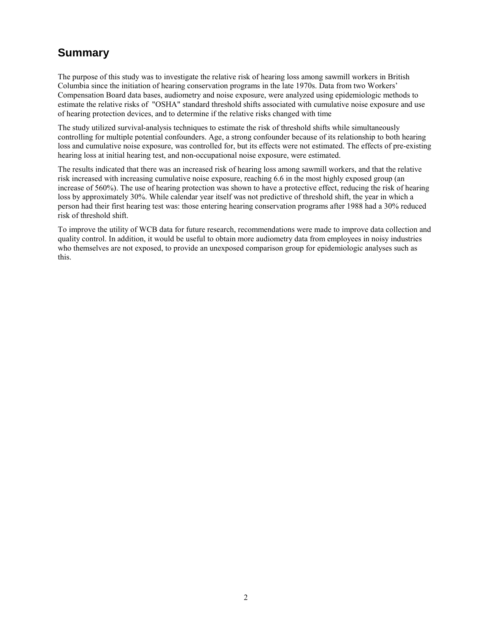### **Summary**

The purpose of this study was to investigate the relative risk of hearing loss among sawmill workers in British Columbia since the initiation of hearing conservation programs in the late 1970s. Data from two Workers' Compensation Board data bases, audiometry and noise exposure, were analyzed using epidemiologic methods to estimate the relative risks of "OSHA" standard threshold shifts associated with cumulative noise exposure and use of hearing protection devices, and to determine if the relative risks changed with time

The study utilized survival-analysis techniques to estimate the risk of threshold shifts while simultaneously controlling for multiple potential confounders. Age, a strong confounder because of its relationship to both hearing loss and cumulative noise exposure, was controlled for, but its effects were not estimated. The effects of pre-existing hearing loss at initial hearing test, and non-occupational noise exposure, were estimated.

The results indicated that there was an increased risk of hearing loss among sawmill workers, and that the relative risk increased with increasing cumulative noise exposure, reaching 6.6 in the most highly exposed group (an increase of 560%). The use of hearing protection was shown to have a protective effect, reducing the risk of hearing loss by approximately 30%. While calendar year itself was not predictive of threshold shift, the year in which a person had their first hearing test was: those entering hearing conservation programs after 1988 had a 30% reduced risk of threshold shift.

To improve the utility of WCB data for future research, recommendations were made to improve data collection and quality control. In addition, it would be useful to obtain more audiometry data from employees in noisy industries who themselves are not exposed, to provide an unexposed comparison group for epidemiologic analyses such as this.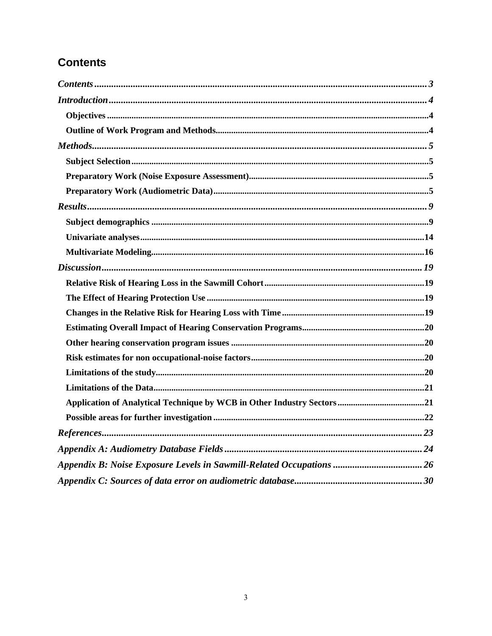## **Contents**

| Appendix B: Noise Exposure Levels in Sawmill-Related Occupations  26 |
|----------------------------------------------------------------------|
|                                                                      |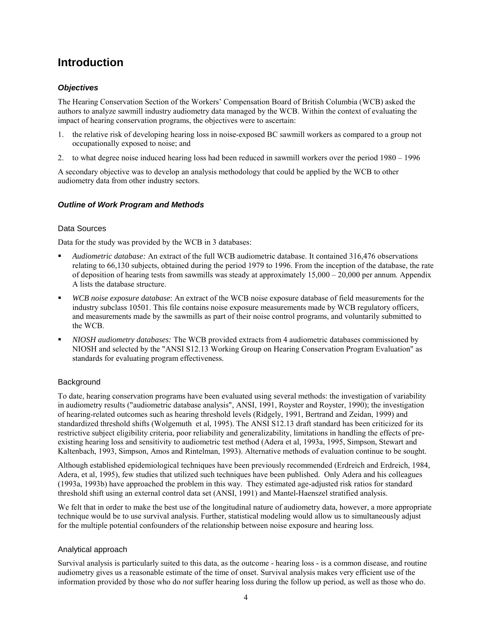### **Introduction**

#### *Objectives*

The Hearing Conservation Section of the Workers' Compensation Board of British Columbia (WCB) asked the authors to analyze sawmill industry audiometry data managed by the WCB. Within the context of evaluating the impact of hearing conservation programs, the objectives were to ascertain:

- 1. the relative risk of developing hearing loss in noise-exposed BC sawmill workers as compared to a group not occupationally exposed to noise; and
- 2. to what degree noise induced hearing loss had been reduced in sawmill workers over the period  $1980 1996$

A secondary objective was to develop an analysis methodology that could be applied by the WCB to other audiometry data from other industry sectors.

#### *Outline of Work Program and Methods*

#### Data Sources

Data for the study was provided by the WCB in 3 databases:

- ! *Audiometric database:* An extract of the full WCB audiometric database. It contained 316,476 observations relating to 66,130 subjects, obtained during the period 1979 to 1996. From the inception of the database, the rate of deposition of hearing tests from sawmills was steady at approximately  $15,000 - 20,000$  per annum. Appendix A lists the database structure.
- ! *WCB noise exposure database*: An extract of the WCB noise exposure database of field measurements for the industry subclass 10501. This file contains noise exposure measurements made by WCB regulatory officers, and measurements made by the sawmills as part of their noise control programs, and voluntarily submitted to the WCB.
- ! *NIOSH audiometry databases:* The WCB provided extracts from 4 audiometric databases commissioned by NIOSH and selected by the "ANSI S12.13 Working Group on Hearing Conservation Program Evaluation" as standards for evaluating program effectiveness.

#### **Background**

To date, hearing conservation programs have been evaluated using several methods: the investigation of variability in audiometry results ("audiometric database analysis", ANSI, 1991, Royster and Royster, 1990); the investigation of hearing-related outcomes such as hearing threshold levels (Ridgely, 1991, Bertrand and Zeidan, 1999) and standardized threshold shifts (Wolgemuth et al, 1995). The ANSI S12.13 draft standard has been criticized for its restrictive subject eligibility criteria, poor reliability and generalizability, limitations in handling the effects of preexisting hearing loss and sensitivity to audiometric test method (Adera et al, 1993a, 1995, Simpson, Stewart and Kaltenbach, 1993, Simpson, Amos and Rintelman, 1993). Alternative methods of evaluation continue to be sought.

Although established epidemiological techniques have been previously recommended (Erdreich and Erdreich, 1984, Adera, et al, 1995), few studies that utilized such techniques have been published. Only Adera and his colleagues (1993a, 1993b) have approached the problem in this way. They estimated age-adjusted risk ratios for standard threshold shift using an external control data set (ANSI, 1991) and Mantel-Haenszel stratified analysis.

We felt that in order to make the best use of the longitudinal nature of audiometry data, however, a more appropriate technique would be to use survival analysis. Further, statistical modeling would allow us to simultaneously adjust for the multiple potential confounders of the relationship between noise exposure and hearing loss.

#### Analytical approach

Survival analysis is particularly suited to this data, as the outcome - hearing loss - is a common disease, and routine audiometry gives us a reasonable estimate of the time of onset. Survival analysis makes very efficient use of the information provided by those who do *not* suffer hearing loss during the follow up period, as well as those who do.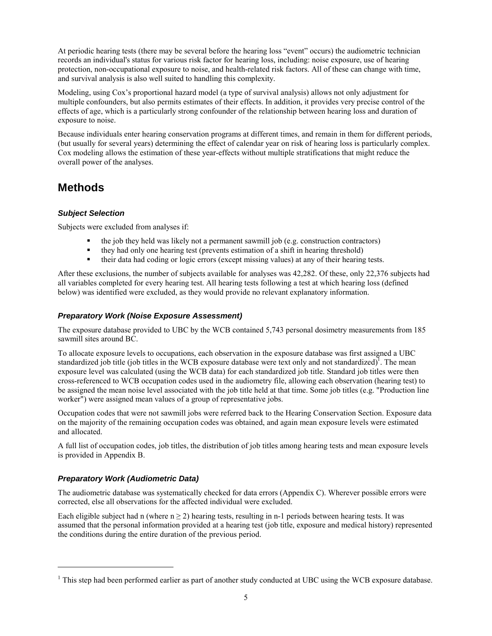At periodic hearing tests (there may be several before the hearing loss "event" occurs) the audiometric technician records an individual's status for various risk factor for hearing loss, including: noise exposure, use of hearing protection, non-occupational exposure to noise, and health-related risk factors. All of these can change with time, and survival analysis is also well suited to handling this complexity.

Modeling, using Cox's proportional hazard model (a type of survival analysis) allows not only adjustment for multiple confounders, but also permits estimates of their effects. In addition, it provides very precise control of the effects of age, which is a particularly strong confounder of the relationship between hearing loss and duration of exposure to noise.

Because individuals enter hearing conservation programs at different times, and remain in them for different periods, (but usually for several years) determining the effect of calendar year on risk of hearing loss is particularly complex. Cox modeling allows the estimation of these year-effects without multiple stratifications that might reduce the overall power of the analyses.

### **Methods**

#### *Subject Selection*

Subjects were excluded from analyses if:

- ! the job they held was likely not a permanent sawmill job (e.g. construction contractors)
- ! they had only one hearing test (prevents estimation of a shift in hearing threshold)
- ! their data had coding or logic errors (except missing values) at any of their hearing tests.

After these exclusions, the number of subjects available for analyses was 42,282. Of these, only 22,376 subjects had all variables completed for every hearing test. All hearing tests following a test at which hearing loss (defined below) was identified were excluded, as they would provide no relevant explanatory information.

#### *Preparatory Work (Noise Exposure Assessment)*

The exposure database provided to UBC by the WCB contained 5,743 personal dosimetry measurements from 185 sawmill sites around BC.

To allocate exposure levels to occupations, each observation in the exposure database was first assigned a UBC standardized job title (job titles in the WCB exposure database were text only and not standardized)<sup>1</sup>. The mean exposure level was calculated (using the WCB data) for each standardized job title. Standard job titles were then cross-referenced to WCB occupation codes used in the audiometry file, allowing each observation (hearing test) to be assigned the mean noise level associated with the job title held at that time. Some job titles (e.g. "Production line worker") were assigned mean values of a group of representative jobs.

Occupation codes that were not sawmill jobs were referred back to the Hearing Conservation Section. Exposure data on the majority of the remaining occupation codes was obtained, and again mean exposure levels were estimated and allocated.

A full list of occupation codes, job titles, the distribution of job titles among hearing tests and mean exposure levels is provided in Appendix B.

#### *Preparatory Work (Audiometric Data)*

l

The audiometric database was systematically checked for data errors (Appendix C). Wherever possible errors were corrected, else all observations for the affected individual were excluded.

Each eligible subject had n (where  $n \ge 2$ ) hearing tests, resulting in n-1 periods between hearing tests. It was assumed that the personal information provided at a hearing test (job title, exposure and medical history) represented the conditions during the entire duration of the previous period.

 $1$  This step had been performed earlier as part of another study conducted at UBC using the WCB exposure database.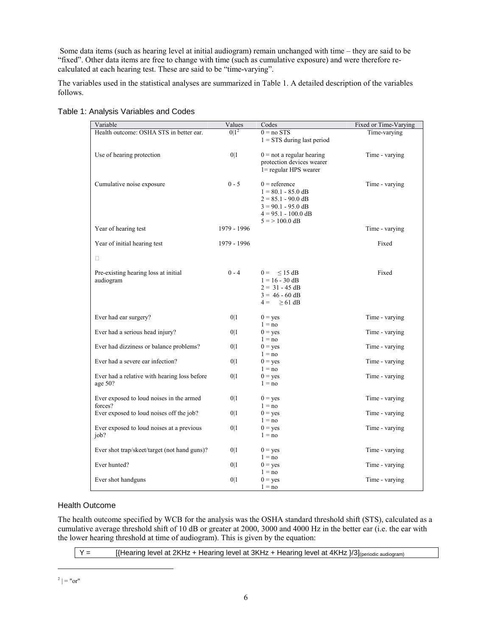Some data items (such as hearing level at initial audiogram) remain unchanged with time  $-$  they are said to be ìfixedî. Other data items are free to change with time (such as cumulative exposure) and were therefore recalculated at each hearing test. These are said to be "time-varying".

The variables used in the statistical analyses are summarized in Table 1. A detailed description of the variables follows.

| Variable                                                   | Values      | Codes                                                                                                                                              | Fixed or Time-Varying |
|------------------------------------------------------------|-------------|----------------------------------------------------------------------------------------------------------------------------------------------------|-----------------------|
| Health outcome: OSHA STS in better ear.                    | $0 1^2$     | $0 = no STS$<br>$1 = STS$ during last period                                                                                                       | Time-varying          |
| Use of hearing protection                                  | 0 1         | $0 =$ not a regular hearing<br>protection devices wearer<br>1= regular HPS wearer                                                                  | Time - varying        |
| Cumulative noise exposure                                  | $0 - 5$     | $0 =$ reference<br>$1 = 80.1 - 85.0$ dB<br>$2 = 85.1 - 90.0 \text{ dB}$<br>$3 = 90.1 - 95.0 \text{ dB}$<br>$4 = 95.1 - 100.0$ dB<br>$5 = 100.0$ dB | Time - varying        |
| Year of hearing test                                       | 1979 - 1996 |                                                                                                                                                    | Time - varying        |
| Year of initial hearing test                               | 1979 - 1996 |                                                                                                                                                    | Fixed                 |
| Pre-existing hearing loss at initial<br>audiogram          | $0 - 4$     | $0 = \leq 15$ dB<br>$1 = 16 - 30$ dB<br>$2 = 31 - 45$ dB<br>$3 = 46 - 60$ dB<br>$4 = \geq 61$ dB                                                   | Fixed                 |
| Ever had ear surgery?                                      | 0 1         | $0 = yes$<br>$1 = no$                                                                                                                              | Time - varying        |
| Ever had a serious head injury?                            | 0 1         | $0 = yes$<br>$1 = no$                                                                                                                              | Time - varying        |
| Ever had dizziness or balance problems?                    | 0 1         | $0 = yes$<br>$1 = no$                                                                                                                              | Time - varying        |
| Ever had a severe ear infection?                           | 0 1         | $0 = \text{ves}$<br>$1 = no$                                                                                                                       | Time - varying        |
| Ever had a relative with hearing loss before<br>age $50$ ? | 0 1         | $0 = \text{ves}$<br>$1 = no$                                                                                                                       | Time - varying        |
| Ever exposed to loud noises in the armed<br>forces?        | 0 1         | $0 = yes$<br>$1 = no$                                                                                                                              | Time - varying        |
| Ever exposed to loud noises off the job?                   | 0 1         | $0 = yes$                                                                                                                                          | Time - varying        |
| Ever exposed to loud noises at a previous<br>job?          | 0 1         | $1 = no$<br>$0 = yes$<br>$1 = no$                                                                                                                  | Time - varying        |
| Ever shot trap/skeet/target (not hand guns)?               | 0 1         | $0 = yes$<br>$1 = no$                                                                                                                              | Time - varying        |
| Ever hunted?                                               | 0 1         | $0 = yes$<br>$1 = no$                                                                                                                              | Time - varying        |
| Ever shot handguns                                         | 0 1         | $0 = yes$<br>$1 = no$                                                                                                                              | Time - varying        |

Table 1: Analysis Variables and Codes

#### Health Outcome

The health outcome specified by WCB for the analysis was the OSHA standard threshold shift (STS), calculated as a cumulative average threshold shift of 10 dB or greater at 2000, 3000 and 4000 Hz in the better ear (i.e. the ear with the lower hearing threshold at time of audiogram). This is given by the equation:

 $Y =$  [{Hearing level at 2KHz + Hearing level at 3KHz + Hearing level at 4KHz  $\frac{1}{3}$ ]<sub>(periodic audiogram)</sub>

 $\overline{\phantom{a}}$ 

 $2 = "or"$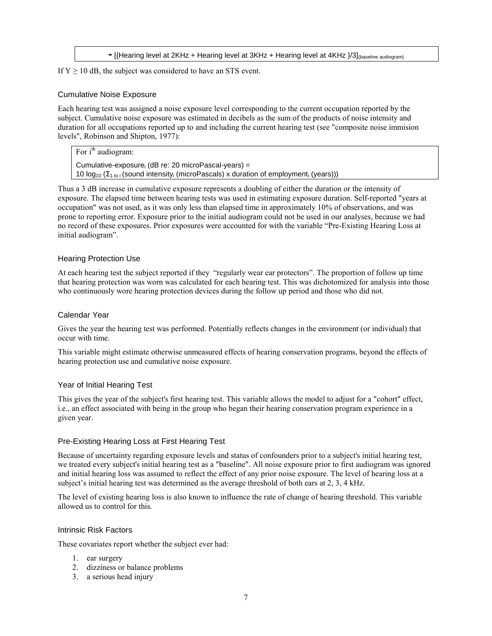**-** [{Hearing level at 2KHz + Hearing level at 3KHz + Hearing level at 4KHz }/3](baseline audiogram)

#### If  $Y \ge 10$  dB, the subject was considered to have an STS event.

#### Cumulative Noise Exposure

Each hearing test was assigned a noise exposure level corresponding to the current occupation reported by the subject. Cumulative noise exposure was estimated in decibels as the sum of the products of noise intensity and duration for all occupations reported up to and including the current hearing test (see "composite noise immision levels", Robinson and Shipton, 1977):

For  $i<sup>th</sup>$  audiogram:

Cumulative-exposure $_1$  (dB re: 20 microPascal-years) = 10  $log_{10}$  ( $\Sigma_{1 \text{ to } i}$  (sound intensity<sub>i</sub> (microPascals) x duration of employment<sub>i</sub> (years)))

Thus a 3 dB increase in cumulative exposure represents a doubling of either the duration or the intensity of exposure. The elapsed time between hearing tests was used in estimating exposure duration. Self-reported "years at occupation" was not used, as it was only less than elapsed time in approximately 10% of observations, and was prone to reporting error. Exposure prior to the initial audiogram could not be used in our analyses, because we had no record of these exposures. Prior exposures were accounted for with the variable "Pre-Existing Hearing Loss at initial audiogram".

#### Hearing Protection Use

At each hearing test the subject reported if they "regularly wear ear protectors". The proportion of follow up time that hearing protection was worn was calculated for each hearing test. This was dichotomized for analysis into those who continuously wore hearing protection devices during the follow up period and those who did not.

#### Calendar Year

Gives the year the hearing test was performed. Potentially reflects changes in the environment (or individual) that occur with time.

This variable might estimate otherwise unmeasured effects of hearing conservation programs, beyond the effects of hearing protection use and cumulative noise exposure.

#### Year of Initial Hearing Test

This gives the year of the subject's first hearing test. This variable allows the model to adjust for a "cohort" effect, i.e., an effect associated with being in the group who began their hearing conservation program experience in a given year.

#### Pre-Existing Hearing Loss at First Hearing Test

Because of uncertainty regarding exposure levels and status of confounders prior to a subject's initial hearing test, we treated every subject's initial hearing test as a "baseline". All noise exposure prior to first audiogram was ignored and initial hearing loss was assumed to reflect the effect of any prior noise exposure. The level of hearing loss at a subject's initial hearing test was determined as the average threshold of both ears at 2, 3, 4 kHz.

The level of existing hearing loss is also known to influence the rate of change of hearing threshold. This variable allowed us to control for this.

#### Intrinsic Risk Factors

These covariates report whether the subject ever had:

- 1. ear surgery
- 2. dizziness or balance problems
- 3. a serious head injury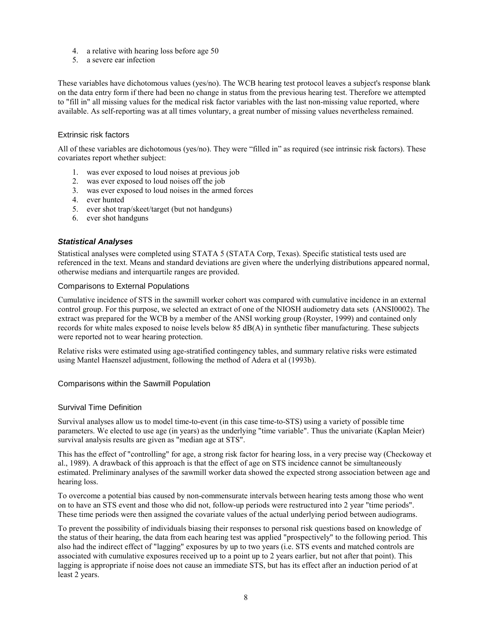- 4. a relative with hearing loss before age 50
- 5. a severe ear infection

These variables have dichotomous values (yes/no). The WCB hearing test protocol leaves a subject's response blank on the data entry form if there had been no change in status from the previous hearing test. Therefore we attempted to "fill in" all missing values for the medical risk factor variables with the last non-missing value reported, where available. As self-reporting was at all times voluntary, a great number of missing values nevertheless remained.

#### Extrinsic risk factors

All of these variables are dichotomous (yes/no). They were "filled in" as required (see intrinsic risk factors). These covariates report whether subject:

- 1. was ever exposed to loud noises at previous job
- 2. was ever exposed to loud noises off the job
- 3. was ever exposed to loud noises in the armed forces
- 4. ever hunted
- 5. ever shot trap/skeet/target (but not handguns)
- 6. ever shot handguns

#### *Statistical Analyses*

Statistical analyses were completed using STATA 5 (STATA Corp, Texas). Specific statistical tests used are referenced in the text. Means and standard deviations are given where the underlying distributions appeared normal, otherwise medians and interquartile ranges are provided.

#### Comparisons to External Populations

Cumulative incidence of STS in the sawmill worker cohort was compared with cumulative incidence in an external control group. For this purpose, we selected an extract of one of the NIOSH audiometry data sets (ANSI0002). The extract was prepared for the WCB by a member of the ANSI working group (Royster, 1999) and contained only records for white males exposed to noise levels below 85 dB(A) in synthetic fiber manufacturing. These subjects were reported not to wear hearing protection.

Relative risks were estimated using age-stratified contingency tables, and summary relative risks were estimated using Mantel Haenszel adjustment, following the method of Adera et al (1993b).

#### Comparisons within the Sawmill Population

#### Survival Time Definition

Survival analyses allow us to model time-to-event (in this case time-to-STS) using a variety of possible time parameters. We elected to use age (in years) as the underlying "time variable". Thus the univariate (Kaplan Meier) survival analysis results are given as "median age at STS".

This has the effect of "controlling" for age, a strong risk factor for hearing loss, in a very precise way (Checkoway et al., 1989). A drawback of this approach is that the effect of age on STS incidence cannot be simultaneously estimated. Preliminary analyses of the sawmill worker data showed the expected strong association between age and hearing loss.

To overcome a potential bias caused by non-commensurate intervals between hearing tests among those who went on to have an STS event and those who did not, follow-up periods were restructured into 2 year "time periods". These time periods were then assigned the covariate values of the actual underlying period between audiograms.

To prevent the possibility of individuals biasing their responses to personal risk questions based on knowledge of the status of their hearing, the data from each hearing test was applied "prospectively" to the following period. This also had the indirect effect of "lagging" exposures by up to two years (i.e. STS events and matched controls are associated with cumulative exposures received up to a point up to 2 years earlier, but not after that point). This lagging is appropriate if noise does not cause an immediate STS, but has its effect after an induction period of at least 2 years.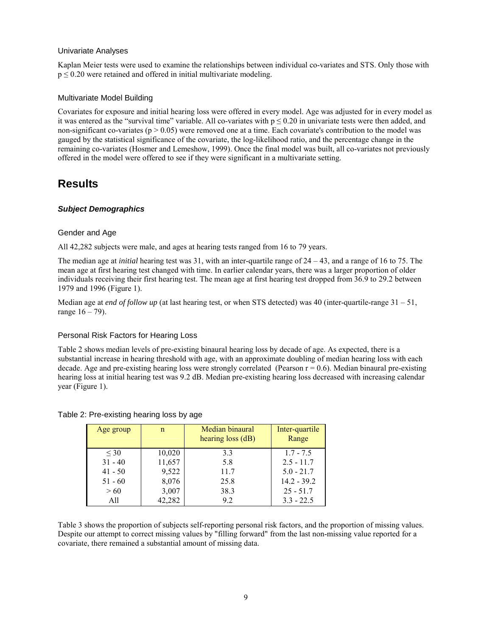#### Univariate Analyses

Kaplan Meier tests were used to examine the relationships between individual co-variates and STS. Only those with  $p \le 0.20$  were retained and offered in initial multivariate modeling.

#### Multivariate Model Building

Covariates for exposure and initial hearing loss were offered in every model. Age was adjusted for in every model as it was entered as the "survival time" variable. All co-variates with  $p \le 0.20$  in univariate tests were then added, and non-significant co-variates ( $p > 0.05$ ) were removed one at a time. Each covariate's contribution to the model was gauged by the statistical significance of the covariate, the log-likelihood ratio, and the percentage change in the remaining co-variates (Hosmer and Lemeshow, 1999). Once the final model was built, all co-variates not previously offered in the model were offered to see if they were significant in a multivariate setting.

### **Results**

#### *Subject Demographics*

#### Gender and Age

All 42,282 subjects were male, and ages at hearing tests ranged from 16 to 79 years.

The median age at *initial* hearing test was 31, with an inter-quartile range of  $24 - 43$ , and a range of 16 to 75. The mean age at first hearing test changed with time. In earlier calendar years, there was a larger proportion of older individuals receiving their first hearing test. The mean age at first hearing test dropped from 36.9 to 29.2 between 1979 and 1996 (Figure 1).

Median age at *end of follow up* (at last hearing test, or when STS detected) was 40 (inter-quartile-range  $31 - 51$ , range  $16 - 79$ ).

#### Personal Risk Factors for Hearing Loss

Table 2 shows median levels of pre-existing binaural hearing loss by decade of age. As expected, there is a substantial increase in hearing threshold with age, with an approximate doubling of median hearing loss with each decade. Age and pre-existing hearing loss were strongly correlated (Pearson  $r = 0.6$ ). Median binaural pre-existing hearing loss at initial hearing test was 9.2 dB. Median pre-existing hearing loss decreased with increasing calendar year (Figure 1).

| Age group | n      | Median binaural<br>hearing loss (dB) | Inter-quartile<br>Range |
|-----------|--------|--------------------------------------|-------------------------|
| $\leq 30$ | 10,020 | 3.3                                  | $1.7 - 7.5$             |
| $31 - 40$ | 11,657 | 5.8                                  | $2.5 - 11.7$            |
| $41 - 50$ | 9,522  | 11.7                                 | $5.0 - 21.7$            |
| $51 - 60$ | 8,076  | 25.8                                 | $14.2 - 39.2$           |
| > 60      | 3,007  | 38.3                                 | $25 - 51.7$             |
| All       | 42,282 | 9.2                                  | $3.3 - 22.5$            |

#### Table 2: Pre-existing hearing loss by age

Table 3 shows the proportion of subjects self-reporting personal risk factors, and the proportion of missing values. Despite our attempt to correct missing values by "filling forward" from the last non-missing value reported for a covariate, there remained a substantial amount of missing data.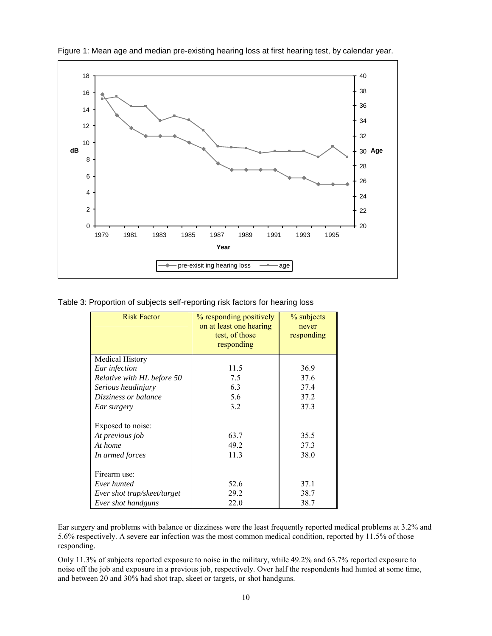

Figure 1: Mean age and median pre-existing hearing loss at first hearing test, by calendar year.

Table 3: Proportion of subjects self-reporting risk factors for hearing loss

| <b>Risk Factor</b>          | % responding positively<br>on at least one hearing<br>test, of those<br>responding | % subjects<br>never<br>responding |
|-----------------------------|------------------------------------------------------------------------------------|-----------------------------------|
| <b>Medical History</b>      |                                                                                    |                                   |
| Ear infection               | 11.5                                                                               | 36.9                              |
| Relative with HL before 50  | 7.5                                                                                | 37.6                              |
| Serious headinjury          | 6.3                                                                                | 37.4                              |
| Dizziness or balance        | 5.6                                                                                | 37.2                              |
| Ear surgery                 | 3.2                                                                                | 37.3                              |
| Exposed to noise:           |                                                                                    |                                   |
| At previous job             | 63.7                                                                               | 35.5                              |
| At home                     | 49.2                                                                               | 37.3                              |
| In armed forces             | 11.3                                                                               | 38.0                              |
| Firearm use:                |                                                                                    |                                   |
| Ever hunted                 | 52.6                                                                               | 37.1                              |
| Ever shot trap/skeet/target | 29.2                                                                               | 38.7                              |
| Ever shot handguns          | 22.0                                                                               | 38.7                              |

Ear surgery and problems with balance or dizziness were the least frequently reported medical problems at 3.2% and 5.6% respectively. A severe ear infection was the most common medical condition, reported by 11.5% of those responding.

Only 11.3% of subjects reported exposure to noise in the military, while 49.2% and 63.7% reported exposure to noise off the job and exposure in a previous job, respectively. Over half the respondents had hunted at some time, and between 20 and 30% had shot trap, skeet or targets, or shot handguns.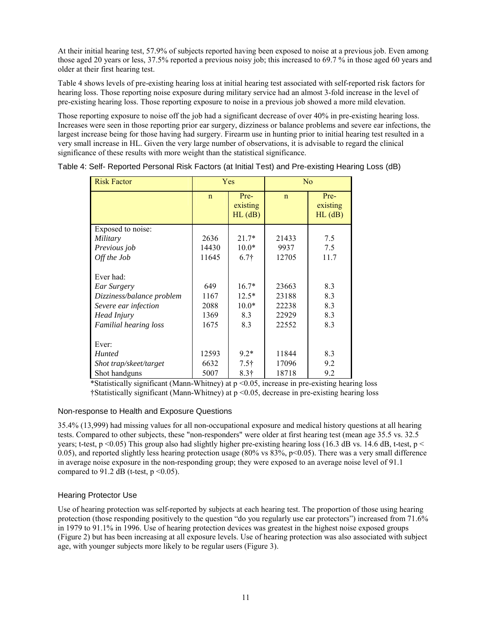At their initial hearing test, 57.9% of subjects reported having been exposed to noise at a previous job. Even among those aged 20 years or less, 37.5% reported a previous noisy job; this increased to 69.7 % in those aged 60 years and older at their first hearing test.

Table 4 shows levels of pre-existing hearing loss at initial hearing test associated with self-reported risk factors for hearing loss. Those reporting noise exposure during military service had an almost 3-fold increase in the level of pre-existing hearing loss. Those reporting exposure to noise in a previous job showed a more mild elevation.

Those reporting exposure to noise off the job had a significant decrease of over 40% in pre-existing hearing loss. Increases were seen in those reporting prior ear surgery, dizziness or balance problems and severe ear infections, the largest increase being for those having had surgery. Firearm use in hunting prior to initial hearing test resulted in a very small increase in HL. Given the very large number of observations, it is advisable to regard the clinical significance of these results with more weight than the statistical significance.

| <b>Risk Factor</b>           |             | <b>Yes</b>                        | N <sub>0</sub> |                                   |  |
|------------------------------|-------------|-----------------------------------|----------------|-----------------------------------|--|
|                              | $\mathbf n$ | Pre-<br>existing<br>$HL$ ( $dB$ ) | $\mathsf{n}$   | Pre-<br>existing<br>$HL$ ( $dB$ ) |  |
| Exposed to noise:            |             |                                   |                |                                   |  |
| Military                     | 2636        | $21.7*$                           | 21433          | 7.5                               |  |
| Previous job                 | 14430       | $10.0*$                           | 9937           | 7.5                               |  |
| Off the Job                  | 11645       | $6.7\dagger$                      | 12705          | 11.7                              |  |
| Ever had:                    |             |                                   |                |                                   |  |
| Ear Surgery                  | 649         | $16.7*$                           | 23663          | 8.3                               |  |
| Dizziness/balance problem    | 1167        | $12.5*$                           | 23188          | 8.3                               |  |
| Severe ear infection         | 2088        | $10.0*$                           | 22238          | 8.3                               |  |
| Head Injury                  | 1369        | 8.3                               | 22929          | 8.3                               |  |
| <b>Familial hearing loss</b> | 1675        | 8.3                               | 22552          | 8.3                               |  |
| Ever:                        |             |                                   |                |                                   |  |
| <b>Hunted</b>                | 12593       | $9.2*$                            | 11844          | 8.3                               |  |
| Shot trap/skeet/target       | 6632        | $7.5\dagger$                      | 17096          | 9.2                               |  |
| Shot handguns                | 5007        | $8.3\dagger$                      | 18718          | 9.2                               |  |

Table 4: Self- Reported Personal Risk Factors (at Initial Test) and Pre-existing Hearing Loss (dB)

\*Statistically significant (Mann-Whitney) at p <0.05, increase in pre-existing hearing loss  $\frac{1}{2}$ Statistically significant (Mann-Whitney) at p <0.05, decrease in pre-existing hearing loss

#### Non-response to Health and Exposure Questions

35.4% (13,999) had missing values for all non-occupational exposure and medical history questions at all hearing tests. Compared to other subjects, these "non-responders" were older at first hearing test (mean age 35.5 vs. 32.5 years; t-test,  $p \le 0.05$ ) This group also had slightly higher pre-existing hearing loss (16.3 dB vs. 14.6 dB, t-test,  $p \le$ 0.05), and reported slightly less hearing protection usage (80% vs  $83\%$ , p<0.05). There was a very small difference in average noise exposure in the non-responding group; they were exposed to an average noise level of 91.1 compared to 91.2 dB (t-test,  $p \le 0.05$ ).

#### Hearing Protector Use

Use of hearing protection was self-reported by subjects at each hearing test. The proportion of those using hearing protection (those responding positively to the question "do you regularly use ear protectors") increased from 71.6% in 1979 to 91.1% in 1996. Use of hearing protection devices was greatest in the highest noise exposed groups (Figure 2) but has been increasing at all exposure levels. Use of hearing protection was also associated with subject age, with younger subjects more likely to be regular users (Figure 3).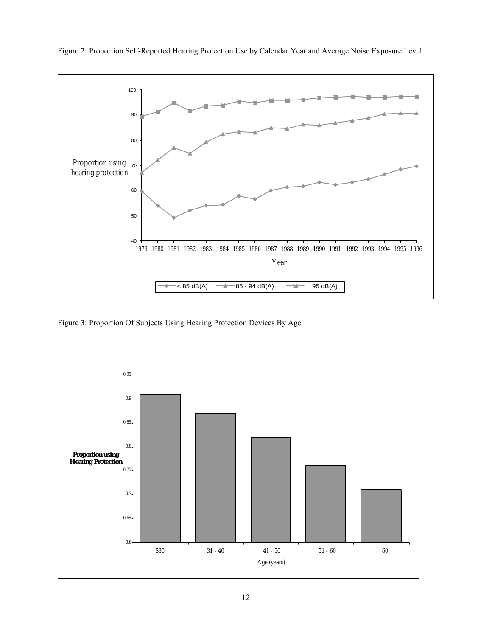

Figure 2: Proportion Self-Reported Hearing Protection Use by Calendar Year and Average Noise Exposure Level

Figure 3: Proportion Of Subjects Using Hearing Protection Devices By Age

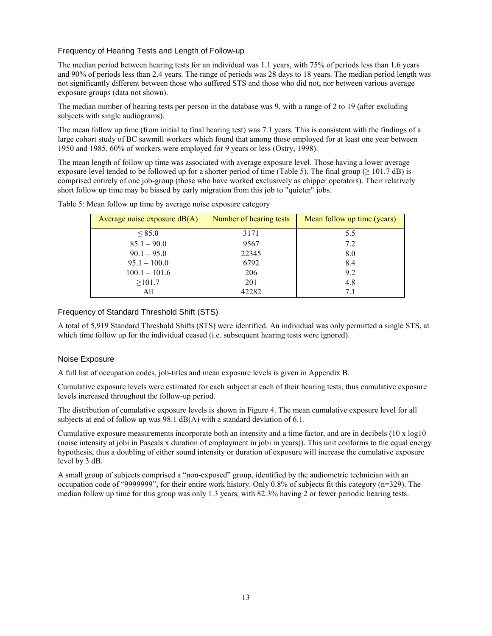#### Frequency of Hearing Tests and Length of Follow-up

The median period between hearing tests for an individual was 1.1 years, with 75% of periods less than 1.6 years and 90% of periods less than 2.4 years. The range of periods was 28 days to 18 years. The median period length was not significantly different between those who suffered STS and those who did not, nor between various average exposure groups (data not shown).

The median number of hearing tests per person in the database was 9, with a range of 2 to 19 (after excluding subjects with single audiograms).

The mean follow up time (from initial to final hearing test) was 7.1 years. This is consistent with the findings of a large cohort study of BC sawmill workers which found that among those employed for at least one year between 1950 and 1985, 60% of workers were employed for 9 years or less (Ostry, 1998).

The mean length of follow up time was associated with average exposure level. Those having a lower average exposure level tended to be followed up for a shorter period of time (Table 5). The final group ( $\geq 101.7$  dB) is comprised entirely of one job-group (those who have worked exclusively as chipper operators). Their relatively short follow up time may be biased by early migration from this job to "quieter" jobs.

| Average noise exposure $dB(A)$ | Number of hearing tests | Mean follow up time (years) |
|--------------------------------|-------------------------|-----------------------------|
| $\leq$ 85.0                    | 3171                    | 5.5                         |
| $85.1 - 90.0$                  | 9567                    | 7.2                         |
| $90.1 - 95.0$                  | 22345                   | 8.0                         |
| $95.1 - 100.0$                 | 6792                    | 8.4                         |
| $100.1 - 101.6$                | 206                     | 9.2                         |
| $\geq 101.7$                   | 201                     | 4.8                         |
| All                            | 42282                   | 71                          |

Table 5: Mean follow up time by average noise exposure category

#### Frequency of Standard Threshold Shift (STS)

A total of 5,919 Standard Threshold Shifts (STS) were identified. An individual was only permitted a single STS, at which time follow up for the individual ceased (i.e. subsequent hearing tests were ignored).

#### Noise Exposure

A full list of occupation codes, job-titles and mean exposure levels is given in Appendix B.

Cumulative exposure levels were estimated for each subject at each of their hearing tests, thus cumulative exposure levels increased throughout the follow-up period.

The distribution of cumulative exposure levels is shown in Figure 4. The mean cumulative exposure level for all subjects at end of follow up was 98.1 dB(A) with a standard deviation of 6.1.

Cumulative exposure measurements incorporate both an intensity and a time factor, and are in decibels (10 x log10 (noise intensity at jobi in Pascals x duration of employment in jobi in years)). This unit conforms to the equal energy hypothesis, thus a doubling of either sound intensity or duration of exposure will increase the cumulative exposure level by 3 dB.

A small group of subjects comprised a "non-exposed" group, identified by the audiometric technician with an occupation code of "9999999", for their entire work history. Only  $0.8\%$  of subjects fit this category (n=329). The median follow up time for this group was only 1.3 years, with 82.3% having 2 or fewer periodic hearing tests.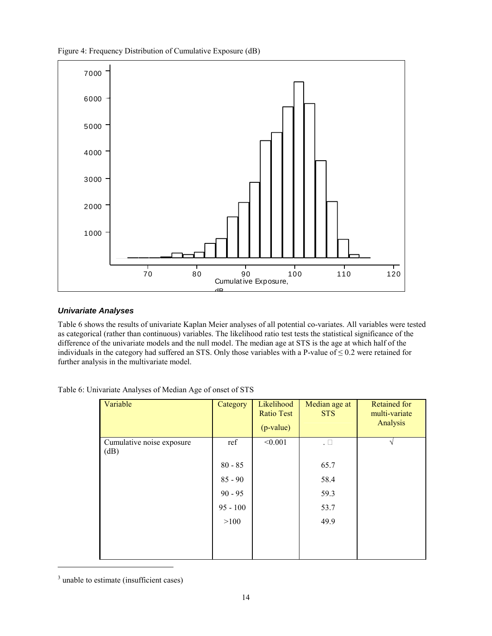Figure 4: Frequency Distribution of Cumulative Exposure (dB)



#### *Univariate Analyses*

Table 6 shows the results of univariate Kaplan Meier analyses of all potential co-variates. All variables were tested as categorical (rather than continuous) variables. The likelihood ratio test tests the statistical significance of the difference of the univariate models and the null model. The median age at STS is the age at which half of the individuals in the category had suffered an STS. Only those variables with a P-value of  $\leq 0.2$  were retained for further analysis in the multivariate model.

| Variable                          | Category   | Likelihood<br><b>Ratio Test</b><br>$(p-value)$ | Median age at<br><b>STS</b> | <b>Retained for</b><br>multi-variate<br>Analysis |
|-----------------------------------|------------|------------------------------------------------|-----------------------------|--------------------------------------------------|
| Cumulative noise exposure<br>(dB) | ref        | < 0.001                                        |                             | $\mathbf \Lambda$                                |
|                                   | $80 - 85$  |                                                | 65.7                        |                                                  |
|                                   | $85 - 90$  |                                                | 58.4                        |                                                  |
|                                   | $90 - 95$  |                                                | 59.3                        |                                                  |
|                                   | $95 - 100$ |                                                | 53.7                        |                                                  |
|                                   | >100       |                                                | 49.9                        |                                                  |
|                                   |            |                                                |                             |                                                  |
|                                   |            |                                                |                             |                                                  |

 $3$  unable to estimate (insufficient cases)

l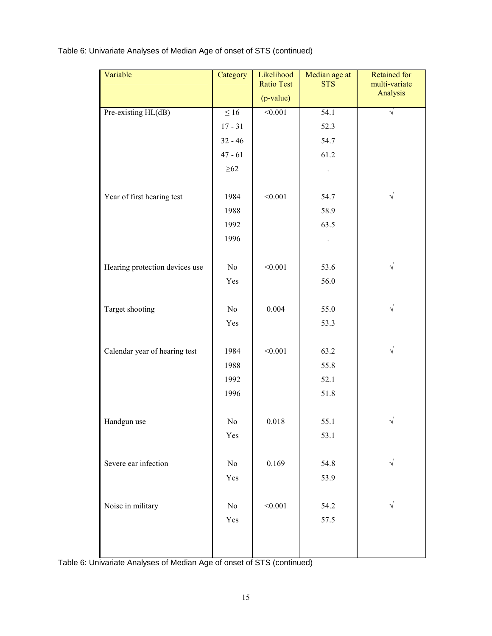Table 6: Univariate Analyses of Median Age of onset of STS (continued)

| Variable                       | Category  | Likelihood<br><b>Ratio Test</b> | Median age at<br><b>STS</b> | <b>Retained for</b><br>multi-variate |
|--------------------------------|-----------|---------------------------------|-----------------------------|--------------------------------------|
|                                |           | $(p-value)$                     |                             | Analysis                             |
| Pre-existing HL(dB)            | $\leq 16$ | < 0.001                         | 54.1                        | V                                    |
|                                | $17 - 31$ |                                 | 52.3                        |                                      |
|                                | $32 - 46$ |                                 | 54.7                        |                                      |
|                                | $47 - 61$ |                                 | 61.2                        |                                      |
|                                | $\geq 62$ |                                 |                             |                                      |
|                                | 1984      | < 0.001                         |                             | $\sqrt{}$                            |
| Year of first hearing test     |           |                                 | 54.7                        |                                      |
|                                | 1988      |                                 | 58.9                        |                                      |
|                                | 1992      |                                 | 63.5                        |                                      |
|                                | 1996      |                                 |                             |                                      |
| Hearing protection devices use | No        | < 0.001                         | 53.6                        | $\sqrt{}$                            |
|                                | Yes       |                                 | 56.0                        |                                      |
|                                |           |                                 |                             |                                      |
| Target shooting                | No        | 0.004                           | 55.0                        | $\sqrt{}$                            |
|                                | Yes       |                                 | 53.3                        |                                      |
|                                |           |                                 |                             |                                      |
| Calendar year of hearing test  | 1984      | < 0.001                         | 63.2                        | $\sqrt{}$                            |
|                                | 1988      |                                 | 55.8                        |                                      |
|                                | 1992      |                                 | 52.1                        |                                      |
|                                | 1996      |                                 | 51.8                        |                                      |
|                                |           |                                 |                             |                                      |
| Handgun use                    | $\rm No$  | 0.018                           | 55.1                        | $\sqrt{}$                            |
|                                | Yes       |                                 | 53.1                        |                                      |
|                                |           |                                 |                             |                                      |
| Severe ear infection           | $\rm No$  | 0.169                           | 54.8                        | $\sqrt{}$                            |
|                                | Yes       |                                 | 53.9                        |                                      |
| Noise in military              | $\rm No$  | < 0.001                         | 54.2                        | $\sqrt{}$                            |
|                                |           |                                 |                             |                                      |
|                                | Yes       |                                 | 57.5                        |                                      |
|                                |           |                                 |                             |                                      |
|                                |           |                                 |                             |                                      |

Table 6: Univariate Analyses of Median Age of onset of STS (continued)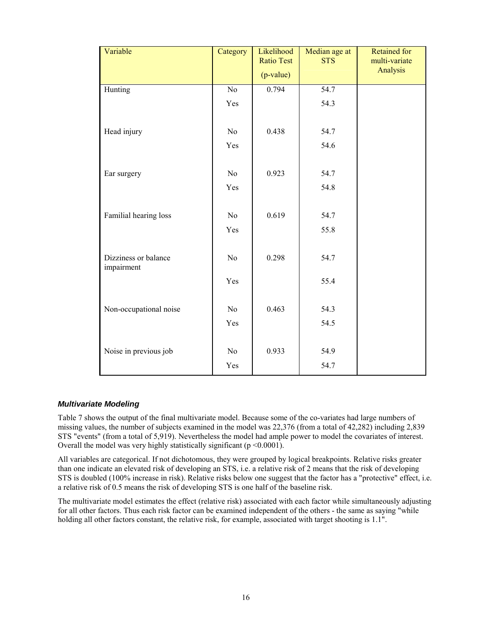| Variable               | Category        | Likelihood<br><b>Ratio Test</b><br>$(p-value)$ | Median age at<br><b>STS</b> | <b>Retained for</b><br>multi-variate<br>Analysis |
|------------------------|-----------------|------------------------------------------------|-----------------------------|--------------------------------------------------|
| Hunting                | $\overline{No}$ | 0.794                                          | $\overline{54.7}$           |                                                  |
|                        | Yes             |                                                | 54.3                        |                                                  |
|                        |                 |                                                |                             |                                                  |
| Head injury            | No              | 0.438                                          | 54.7                        |                                                  |
|                        | Yes             |                                                | 54.6                        |                                                  |
|                        |                 |                                                |                             |                                                  |
| Ear surgery            | No              | 0.923                                          | 54.7                        |                                                  |
|                        | Yes             |                                                | 54.8                        |                                                  |
|                        |                 |                                                |                             |                                                  |
| Familial hearing loss  | N <sub>o</sub>  | 0.619                                          | 54.7                        |                                                  |
|                        | Yes             |                                                | 55.8                        |                                                  |
|                        |                 |                                                |                             |                                                  |
| Dizziness or balance   | N <sub>o</sub>  | 0.298                                          | 54.7                        |                                                  |
| impairment             |                 |                                                |                             |                                                  |
|                        | Yes             |                                                | 55.4                        |                                                  |
|                        |                 |                                                |                             |                                                  |
| Non-occupational noise | No              | 0.463                                          | 54.3                        |                                                  |
|                        | Yes             |                                                | 54.5                        |                                                  |
|                        |                 |                                                |                             |                                                  |
| Noise in previous job  | No              | 0.933                                          | 54.9                        |                                                  |
|                        | Yes             |                                                | 54.7                        |                                                  |

#### *Multivariate Modeling*

Table 7 shows the output of the final multivariate model. Because some of the co-variates had large numbers of missing values, the number of subjects examined in the model was 22,376 (from a total of 42,282) including 2,839 STS "events" (from a total of 5,919). Nevertheless the model had ample power to model the covariates of interest. Overall the model was very highly statistically significant (p <0.0001).

All variables are categorical. If not dichotomous, they were grouped by logical breakpoints. Relative risks greater than one indicate an elevated risk of developing an STS, i.e. a relative risk of 2 means that the risk of developing STS is doubled (100% increase in risk). Relative risks below one suggest that the factor has a "protective" effect, i.e. a relative risk of 0.5 means the risk of developing STS is one half of the baseline risk.

The multivariate model estimates the effect (relative risk) associated with each factor while simultaneously adjusting for all other factors. Thus each risk factor can be examined independent of the others - the same as saying "while holding all other factors constant, the relative risk, for example, associated with target shooting is 1.1".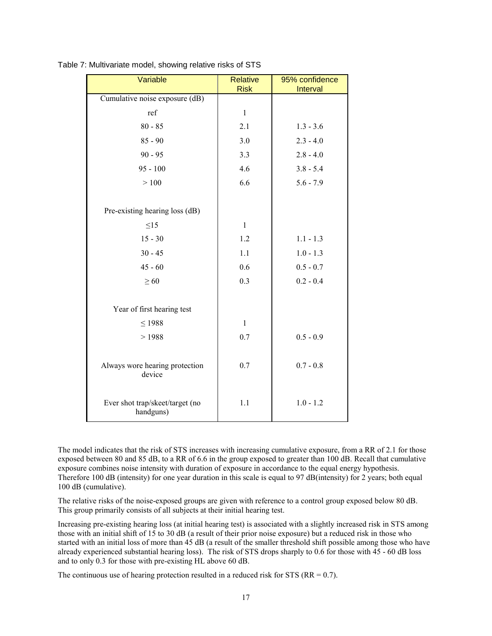| Variable                        | <b>Relative</b><br><b>Risk</b> | 95% confidence<br>Interval |
|---------------------------------|--------------------------------|----------------------------|
| Cumulative noise exposure (dB)  |                                |                            |
| ref                             | $\mathbf{1}$                   |                            |
| $80 - 85$                       | 2.1                            | $1.3 - 3.6$                |
| $85 - 90$                       | 3.0                            | $2.3 - 4.0$                |
| $90 - 95$                       | 3.3                            | $2.8 - 4.0$                |
| $95 - 100$                      | 4.6                            | $3.8 - 5.4$                |
| >100                            | 6.6                            | $5.6 - 7.9$                |
|                                 |                                |                            |
| Pre-existing hearing loss (dB)  |                                |                            |
| $\leq$ 15                       | $\mathbf{1}$                   |                            |
| $15 - 30$                       | 1.2                            | $1.1 - 1.3$                |
| $30 - 45$                       | 1.1                            | $1.0 - 1.3$                |
| $45 - 60$                       | 0.6                            | $0.5 - 0.7$                |
| $\geq 60$                       | 0.3                            | $0.2 - 0.4$                |
|                                 |                                |                            |
| Year of first hearing test      |                                |                            |
| $\leq$ 1988                     | $\mathbf{1}$                   |                            |
| >1988                           | 0.7                            | $0.5 - 0.9$                |
|                                 |                                |                            |
| Always wore hearing protection  | 0.7                            | $0.7 - 0.8$                |
| device                          |                                |                            |
| Ever shot trap/skeet/target (no | 1.1                            | $1.0 - 1.2$                |
| handguns)                       |                                |                            |

Table 7: Multivariate model, showing relative risks of STS

The model indicates that the risk of STS increases with increasing cumulative exposure, from a RR of 2.1 for those exposed between 80 and 85 dB, to a RR of 6.6 in the group exposed to greater than 100 dB. Recall that cumulative exposure combines noise intensity with duration of exposure in accordance to the equal energy hypothesis. Therefore 100 dB (intensity) for one year duration in this scale is equal to 97 dB(intensity) for 2 years; both equal 100 dB (cumulative).

The relative risks of the noise-exposed groups are given with reference to a control group exposed below 80 dB. This group primarily consists of all subjects at their initial hearing test.

Increasing pre-existing hearing loss (at initial hearing test) is associated with a slightly increased risk in STS among those with an initial shift of 15 to 30 dB (a result of their prior noise exposure) but a reduced risk in those who started with an initial loss of more than 45 dB (a result of the smaller threshold shift possible among those who have already experienced substantial hearing loss). The risk of STS drops sharply to 0.6 for those with 45 - 60 dB loss and to only 0.3 for those with pre-existing HL above 60 dB.

The continuous use of hearing protection resulted in a reduced risk for STS ( $RR = 0.7$ ).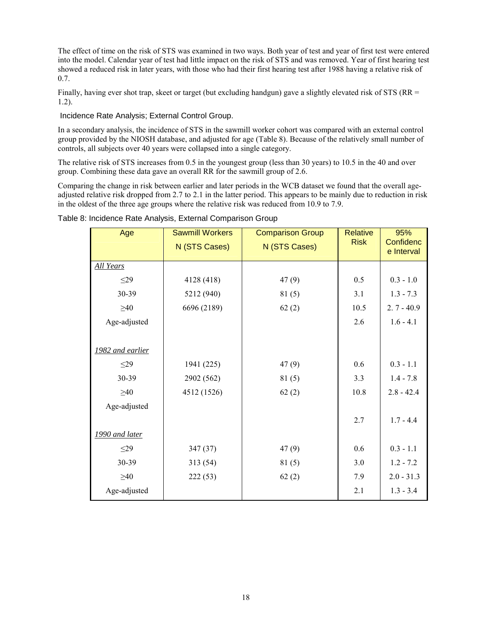The effect of time on the risk of STS was examined in two ways. Both year of test and year of first test were entered into the model. Calendar year of test had little impact on the risk of STS and was removed. Year of first hearing test showed a reduced risk in later years, with those who had their first hearing test after 1988 having a relative risk of 0.7.

Finally, having ever shot trap, skeet or target (but excluding handgun) gave a slightly elevated risk of STS (RR = 1.2).

Incidence Rate Analysis; External Control Group.

In a secondary analysis, the incidence of STS in the sawmill worker cohort was compared with an external control group provided by the NIOSH database, and adjusted for age (Table 8). Because of the relatively small number of controls, all subjects over 40 years were collapsed into a single category.

The relative risk of STS increases from 0.5 in the youngest group (less than 30 years) to 10.5 in the 40 and over group. Combining these data gave an overall RR for the sawmill group of 2.6.

Comparing the change in risk between earlier and later periods in the WCB dataset we found that the overall ageadjusted relative risk dropped from 2.7 to 2.1 in the latter period. This appears to be mainly due to reduction in risk in the oldest of the three age groups where the relative risk was reduced from 10.9 to 7.9.

| Age              | <b>Sawmill Workers</b> | <b>Comparison Group</b> | <b>Relative</b> | 95%                     |
|------------------|------------------------|-------------------------|-----------------|-------------------------|
|                  | N (STS Cases)          | N (STS Cases)           | <b>Risk</b>     | Confidenc<br>e Interval |
| <b>All Years</b> |                        |                         |                 |                         |
| $\leq$ 29        | 4128 (418)             | 47(9)                   | 0.5             | $0.3 - 1.0$             |
| 30-39            | 5212 (940)             | 81(5)                   | 3.1             | $1.3 - 7.3$             |
| $\geq 40$        | 6696 (2189)            | 62(2)                   | 10.5            | $2.7 - 40.9$            |
| Age-adjusted     |                        |                         | 2.6             | $1.6 - 4.1$             |
|                  |                        |                         |                 |                         |
| 1982 and earlier |                        |                         |                 |                         |
| $\leq$ 29        | 1941 (225)             | 47(9)                   | 0.6             | $0.3 - 1.1$             |
| 30-39            | 2902 (562)             | 81(5)                   | 3.3             | $1.4 - 7.8$             |
| $\geq 40$        | 4512 (1526)            | 62(2)                   | 10.8            | $2.8 - 42.4$            |
| Age-adjusted     |                        |                         |                 |                         |
|                  |                        |                         | 2.7             | $1.7 - 4.4$             |
| 1990 and later   |                        |                         |                 |                         |
| $\leq$ 29        | 347(37)                | 47(9)                   | 0.6             | $0.3 - 1.1$             |
| 30-39            | 313(54)                | 81(5)                   | 3.0             | $1.2 - 7.2$             |
| $\geq 40$        | 222(53)                | 62(2)                   | 7.9             | $2.0 - 31.3$            |
| Age-adjusted     |                        |                         | 2.1             | $1.3 - 3.4$             |

Table 8: Incidence Rate Analysis, External Comparison Group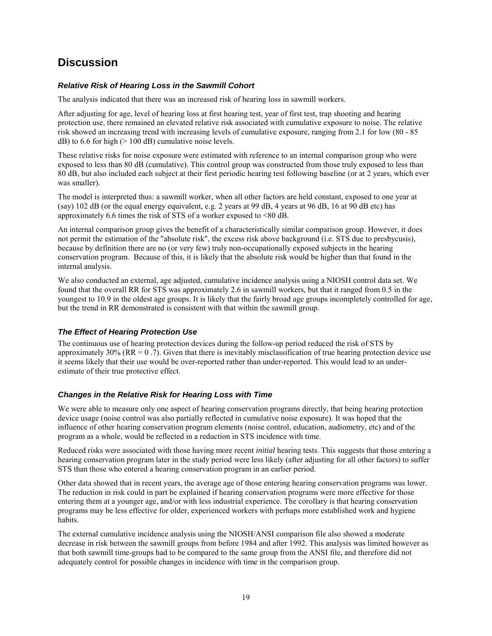### **Discussion**

#### *Relative Risk of Hearing Loss in the Sawmill Cohort*

The analysis indicated that there was an increased risk of hearing loss in sawmill workers.

After adjusting for age, level of hearing loss at first hearing test, year of first test, trap shooting and hearing protection use, there remained an elevated relative risk associated with cumulative exposure to noise. The relative risk showed an increasing trend with increasing levels of cumulative exposure, ranging from 2.1 for low (80 - 85  $dB$ ) to 6.6 for high ( $> 100$  dB) cumulative noise levels.

These relative risks for noise exposure were estimated with reference to an internal comparison group who were exposed to less than 80 dB (cumulative). This control group was constructed from those truly exposed to less than 80 dB, but also included each subject at their first periodic hearing test following baseline (or at 2 years, which ever was smaller).

The model is interpreted thus: a sawmill worker, when all other factors are held constant, exposed to one year at (say) 102 dB (or the equal energy equivalent, e.g. 2 years at 99 dB, 4 years at 96 dB, 16 at 90 dB etc) has approximately 6.6 times the risk of STS of a worker exposed to <80 dB.

An internal comparison group gives the benefit of a characteristically similar comparison group. However, it does not permit the estimation of the "absolute risk", the excess risk above background (i.e. STS due to presbycusis), because by definition there are no (or very few) truly non-occupationally exposed subjects in the hearing conservation program. Because of this, it is likely that the absolute risk would be higher than that found in the internal analysis.

We also conducted an external, age adjusted, cumulative incidence analysis using a NIOSH control data set. We found that the overall RR for STS was approximately 2.6 in sawmill workers, but that it ranged from 0.5 in the youngest to 10.9 in the oldest age groups. It is likely that the fairly broad age groups incompletely controlled for age, but the trend in RR demonstrated is consistent with that within the sawmill group.

#### *The Effect of Hearing Protection Use*

The continuous use of hearing protection devices during the follow-up period reduced the risk of STS by approximately  $30\%$  (RR = 0.7). Given that there is inevitably misclassification of true hearing protection device use it seems likely that their use would be over-reported rather than under-reported. This would lead to an underestimate of their true protective effect.

#### *Changes in the Relative Risk for Hearing Loss with Time*

We were able to measure only one aspect of hearing conservation programs directly, that being hearing protection device usage (noise control was also partially reflected in cumulative noise exposure). It was hoped that the influence of other hearing conservation program elements (noise control, education, audiometry, etc) and of the program as a whole, would be reflected in a reduction in STS incidence with time.

Reduced risks were associated with those having more recent *initial* hearing tests. This suggests that those entering a hearing conservation program later in the study period were less likely (after adjusting for all other factors) to suffer STS than those who entered a hearing conservation program in an earlier period.

Other data showed that in recent years, the average age of those entering hearing conservation programs was lower. The reduction in risk could in part be explained if hearing conservation programs were more effective for those entering them at a younger age, and/or with less industrial experience. The corollary is that hearing conservation programs may be less effective for older, experienced workers with perhaps more established work and hygiene habits.

The external cumulative incidence analysis using the NIOSH/ANSI comparison file also showed a moderate decrease in risk between the sawmill groups from before 1984 and after 1992. This analysis was limited however as that both sawmill time-groups had to be compared to the same group from the ANSI file, and therefore did not adequately control for possible changes in incidence with time in the comparison group.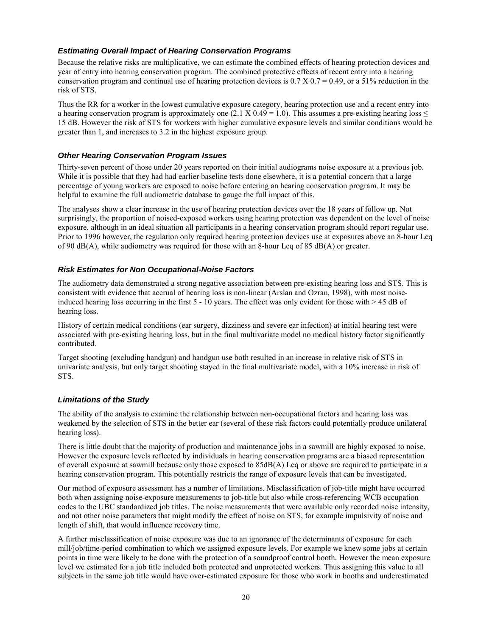#### *Estimating Overall Impact of Hearing Conservation Programs*

Because the relative risks are multiplicative, we can estimate the combined effects of hearing protection devices and year of entry into hearing conservation program. The combined protective effects of recent entry into a hearing conservation program and continual use of hearing protection devices is  $0.7 \times 0.7 = 0.49$ , or a 51% reduction in the risk of STS.

Thus the RR for a worker in the lowest cumulative exposure category, hearing protection use and a recent entry into a hearing conservation program is approximately one (2.1 X 0.49 = 1.0). This assumes a pre-existing hearing loss  $\leq$ 15 dB. However the risk of STS for workers with higher cumulative exposure levels and similar conditions would be greater than 1, and increases to 3.2 in the highest exposure group.

#### *Other Hearing Conservation Program Issues*

Thirty-seven percent of those under 20 years reported on their initial audiograms noise exposure at a previous job. While it is possible that they had had earlier baseline tests done elsewhere, it is a potential concern that a large percentage of young workers are exposed to noise before entering an hearing conservation program. It may be helpful to examine the full audiometric database to gauge the full impact of this.

The analyses show a clear increase in the use of hearing protection devices over the 18 years of follow up. Not surprisingly, the proportion of noised-exposed workers using hearing protection was dependent on the level of noise exposure, although in an ideal situation all participants in a hearing conservation program should report regular use. Prior to 1996 however, the regulation only required hearing protection devices use at exposures above an 8-hour Leq of 90 dB(A), while audiometry was required for those with an 8-hour Leq of 85 dB(A) or greater.

#### *Risk Estimates for Non Occupational-Noise Factors*

The audiometry data demonstrated a strong negative association between pre-existing hearing loss and STS. This is consistent with evidence that accrual of hearing loss is non-linear (Arslan and Ozran, 1998), with most noiseinduced hearing loss occurring in the first 5 - 10 years. The effect was only evident for those with > 45 dB of hearing loss.

History of certain medical conditions (ear surgery, dizziness and severe ear infection) at initial hearing test were associated with pre-existing hearing loss, but in the final multivariate model no medical history factor significantly contributed.

Target shooting (excluding handgun) and handgun use both resulted in an increase in relative risk of STS in univariate analysis, but only target shooting stayed in the final multivariate model, with a 10% increase in risk of STS.

#### *Limitations of the Study*

The ability of the analysis to examine the relationship between non-occupational factors and hearing loss was weakened by the selection of STS in the better ear (several of these risk factors could potentially produce unilateral hearing loss).

There is little doubt that the majority of production and maintenance jobs in a sawmill are highly exposed to noise. However the exposure levels reflected by individuals in hearing conservation programs are a biased representation of overall exposure at sawmill because only those exposed to 85dB(A) Leq or above are required to participate in a hearing conservation program. This potentially restricts the range of exposure levels that can be investigated.

Our method of exposure assessment has a number of limitations. Misclassification of job-title might have occurred both when assigning noise-exposure measurements to job-title but also while cross-referencing WCB occupation codes to the UBC standardized job titles. The noise measurements that were available only recorded noise intensity, and not other noise parameters that might modify the effect of noise on STS, for example impulsivity of noise and length of shift, that would influence recovery time.

A further misclassification of noise exposure was due to an ignorance of the determinants of exposure for each mill/job/time-period combination to which we assigned exposure levels. For example we knew some jobs at certain points in time were likely to be done with the protection of a soundproof control booth. However the mean exposure level we estimated for a job title included both protected and unprotected workers. Thus assigning this value to all subjects in the same job title would have over-estimated exposure for those who work in booths and underestimated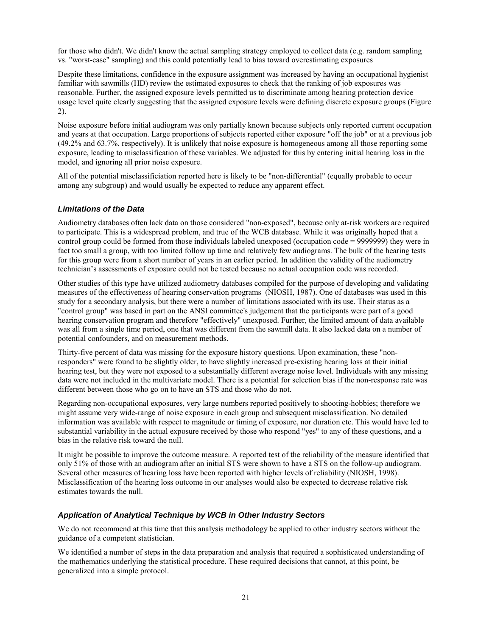for those who didn't. We didn't know the actual sampling strategy employed to collect data (e.g. random sampling vs. "worst-case" sampling) and this could potentially lead to bias toward overestimating exposures

Despite these limitations, confidence in the exposure assignment was increased by having an occupational hygienist familiar with sawmills (HD) review the estimated exposures to check that the ranking of job exposures was reasonable. Further, the assigned exposure levels permitted us to discriminate among hearing protection device usage level quite clearly suggesting that the assigned exposure levels were defining discrete exposure groups (Figure 2).

Noise exposure before initial audiogram was only partially known because subjects only reported current occupation and years at that occupation. Large proportions of subjects reported either exposure "off the job" or at a previous job (49.2% and 63.7%, respectively). It is unlikely that noise exposure is homogeneous among all those reporting some exposure, leading to misclassification of these variables. We adjusted for this by entering initial hearing loss in the model, and ignoring all prior noise exposure.

All of the potential misclassificiation reported here is likely to be "non-differential" (equally probable to occur among any subgroup) and would usually be expected to reduce any apparent effect.

#### *Limitations of the Data*

Audiometry databases often lack data on those considered "non-exposed", because only at-risk workers are required to participate. This is a widespread problem, and true of the WCB database. While it was originally hoped that a control group could be formed from those individuals labeled unexposed (occupation code = 9999999) they were in fact too small a group, with too limited follow up time and relatively few audiograms. The bulk of the hearing tests for this group were from a short number of years in an earlier period. In addition the validity of the audiometry technicianís assessments of exposure could not be tested because no actual occupation code was recorded.

Other studies of this type have utilized audiometry databases compiled for the purpose of developing and validating measures of the effectiveness of hearing conservation programs (NIOSH, 1987). One of databases was used in this study for a secondary analysis, but there were a number of limitations associated with its use. Their status as a "control group" was based in part on the ANSI committee's judgement that the participants were part of a good hearing conservation program and therefore "effectively" unexposed. Further, the limited amount of data available was all from a single time period, one that was different from the sawmill data. It also lacked data on a number of potential confounders, and on measurement methods.

Thirty-five percent of data was missing for the exposure history questions. Upon examination, these "nonresponders" were found to be slightly older, to have slightly increased pre-existing hearing loss at their initial hearing test, but they were not exposed to a substantially different average noise level. Individuals with any missing data were not included in the multivariate model. There is a potential for selection bias if the non-response rate was different between those who go on to have an STS and those who do not.

Regarding non-occupational exposures, very large numbers reported positively to shooting-hobbies; therefore we might assume very wide-range of noise exposure in each group and subsequent misclassification. No detailed information was available with respect to magnitude or timing of exposure, nor duration etc. This would have led to substantial variability in the actual exposure received by those who respond "yes" to any of these questions, and a bias in the relative risk toward the null.

It might be possible to improve the outcome measure. A reported test of the reliability of the measure identified that only 51% of those with an audiogram after an initial STS were shown to have a STS on the follow-up audiogram. Several other measures of hearing loss have been reported with higher levels of reliability (NIOSH, 1998). Misclassification of the hearing loss outcome in our analyses would also be expected to decrease relative risk estimates towards the null.

#### *Application of Analytical Technique by WCB in Other Industry Sectors*

We do not recommend at this time that this analysis methodology be applied to other industry sectors without the guidance of a competent statistician.

We identified a number of steps in the data preparation and analysis that required a sophisticated understanding of the mathematics underlying the statistical procedure. These required decisions that cannot, at this point, be generalized into a simple protocol.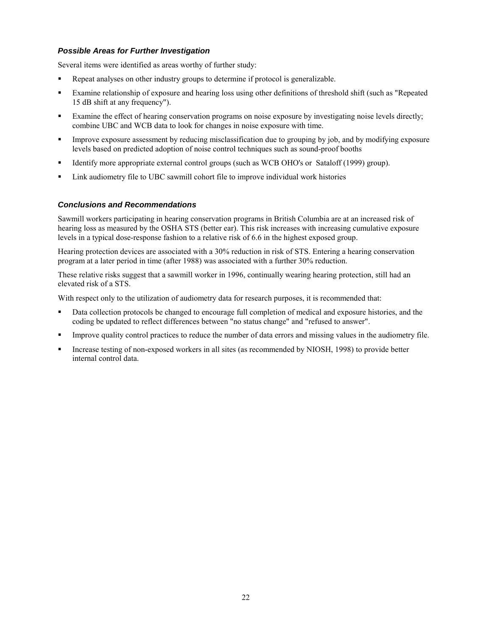#### *Possible Areas for Further Investigation*

Several items were identified as areas worthy of further study:

- ! Repeat analyses on other industry groups to determine if protocol is generalizable.
- ! Examine relationship of exposure and hearing loss using other definitions of threshold shift (such as "Repeated 15 dB shift at any frequency").
- Examine the effect of hearing conservation programs on noise exposure by investigating noise levels directly; combine UBC and WCB data to look for changes in noise exposure with time.
- ! Improve exposure assessment by reducing misclassification due to grouping by job, and by modifying exposure levels based on predicted adoption of noise control techniques such as sound-proof booths
- ! Identify more appropriate external control groups (such as WCB OHO's or Sataloff (1999) group).
- ! Link audiometry file to UBC sawmill cohort file to improve individual work histories

#### *Conclusions and Recommendations*

Sawmill workers participating in hearing conservation programs in British Columbia are at an increased risk of hearing loss as measured by the OSHA STS (better ear). This risk increases with increasing cumulative exposure levels in a typical dose-response fashion to a relative risk of 6.6 in the highest exposed group.

Hearing protection devices are associated with a 30% reduction in risk of STS. Entering a hearing conservation program at a later period in time (after 1988) was associated with a further 30% reduction.

These relative risks suggest that a sawmill worker in 1996, continually wearing hearing protection, still had an elevated risk of a STS.

With respect only to the utilization of audiometry data for research purposes, it is recommended that:

- ! Data collection protocols be changed to encourage full completion of medical and exposure histories, and the coding be updated to reflect differences between "no status change" and "refused to answer".
- ! Improve quality control practices to reduce the number of data errors and missing values in the audiometry file.
- ! Increase testing of non-exposed workers in all sites (as recommended by NIOSH, 1998) to provide better internal control data.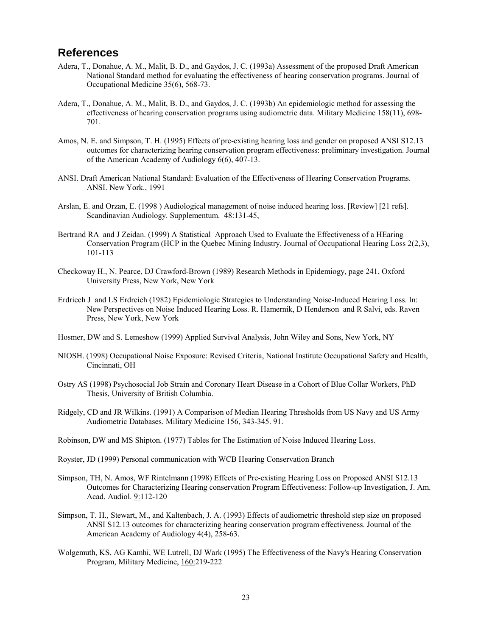### **References**

- Adera, T., Donahue, A. M., Malit, B. D., and Gaydos, J. C. (1993a) Assessment of the proposed Draft American National Standard method for evaluating the effectiveness of hearing conservation programs. Journal of Occupational Medicine 35(6), 568-73.
- Adera, T., Donahue, A. M., Malit, B. D., and Gaydos, J. C. (1993b) An epidemiologic method for assessing the effectiveness of hearing conservation programs using audiometric data. Military Medicine 158(11), 698- 701.
- Amos, N. E. and Simpson, T. H. (1995) Effects of pre-existing hearing loss and gender on proposed ANSI S12.13 outcomes for characterizing hearing conservation program effectiveness: preliminary investigation. Journal of the American Academy of Audiology 6(6), 407-13.
- ANSI. Draft American National Standard: Evaluation of the Effectiveness of Hearing Conservation Programs. ANSI. New York., 1991
- Arslan, E. and Orzan, E. (1998 ) Audiological management of noise induced hearing loss. [Review] [21 refs]. Scandinavian Audiology. Supplementum. 48:131-45,
- Bertrand RA and J Zeidan. (1999) A Statistical Approach Used to Evaluate the Effectiveness of a HEaring Conservation Program (HCP in the Quebec Mining Industry. Journal of Occupational Hearing Loss 2(2,3), 101-113
- Checkoway H., N. Pearce, DJ Crawford-Brown (1989) Research Methods in Epidemiogy, page 241, Oxford University Press, New York, New York
- Erdriech J and LS Erdreich (1982) Epidemiologic Strategies to Understanding Noise-Induced Hearing Loss. In: New Perspectives on Noise Induced Hearing Loss. R. Hamernik, D Henderson and R Salvi, eds. Raven Press, New York, New York
- Hosmer, DW and S. Lemeshow (1999) Applied Survival Analysis, John Wiley and Sons, New York, NY
- NIOSH. (1998) Occupational Noise Exposure: Revised Criteria, National Institute Occupational Safety and Health, Cincinnati, OH
- Ostry AS (1998) Psychosocial Job Strain and Coronary Heart Disease in a Cohort of Blue Collar Workers, PhD Thesis, University of British Columbia.
- Ridgely, CD and JR Wilkins. (1991) A Comparison of Median Hearing Thresholds from US Navy and US Army Audiometric Databases. Military Medicine 156, 343-345. 91.
- Robinson, DW and MS Shipton. (1977) Tables for The Estimation of Noise Induced Hearing Loss.
- Royster, JD (1999) Personal communication with WCB Hearing Conservation Branch
- Simpson, TH, N. Amos, WF Rintelmann (1998) Effects of Pre-existing Hearing Loss on Proposed ANSI S12.13 Outcomes for Characterizing Hearing conservation Program Effectiveness: Follow-up Investigation, J. Am. Acad. Audiol. 9:112-120
- Simpson, T. H., Stewart, M., and Kaltenbach, J. A. (1993) Effects of audiometric threshold step size on proposed ANSI S12.13 outcomes for characterizing hearing conservation program effectiveness. Journal of the American Academy of Audiology 4(4), 258-63.
- Wolgemuth, KS, AG Kamhi, WE Lutrell, DJ Wark (1995) The Effectiveness of the Navy's Hearing Conservation Program, Military Medicine, 160:219-222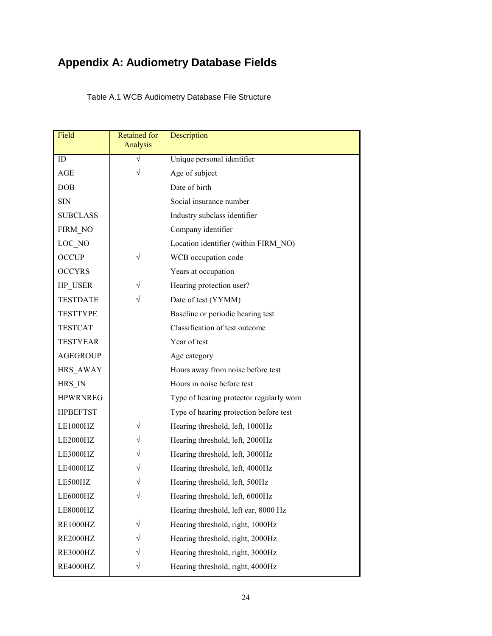# **Appendix A: Audiometry Database Fields**

Table A.1 WCB Audiometry Database File Structure

| Field           | <b>Retained for</b><br>Analysis | Description                              |
|-----------------|---------------------------------|------------------------------------------|
| ID              |                                 | Unique personal identifier               |
| AGE             | V                               | Age of subject                           |
| <b>DOB</b>      |                                 | Date of birth                            |
| <b>SIN</b>      |                                 | Social insurance number                  |
| <b>SUBCLASS</b> |                                 | Industry subclass identifier             |
| FIRM NO         |                                 | Company identifier                       |
| LOC NO          |                                 | Location identifier (within FIRM NO)     |
| <b>OCCUP</b>    | $\sqrt{}$                       | WCB occupation code                      |
| <b>OCCYRS</b>   |                                 | Years at occupation                      |
| HP USER         |                                 | Hearing protection user?                 |
| <b>TESTDATE</b> | V                               | Date of test (YYMM)                      |
| <b>TESTTYPE</b> |                                 | Baseline or periodic hearing test        |
| <b>TESTCAT</b>  |                                 | Classification of test outcome           |
| <b>TESTYEAR</b> |                                 | Year of test                             |
| <b>AGEGROUP</b> |                                 | Age category                             |
| HRS AWAY        |                                 | Hours away from noise before test        |
| HRS IN          |                                 | Hours in noise before test               |
| <b>HPWRNREG</b> |                                 | Type of hearing protector regularly worn |
| <b>HPBEFTST</b> |                                 | Type of hearing protection before test   |
| LE1000HZ        | $\sqrt{}$                       | Hearing threshold, left, 1000Hz          |
| LE2000HZ        |                                 | Hearing threshold, left, 2000Hz          |
| LE3000HZ        |                                 | Hearing threshold, left, 3000Hz          |
| LE4000HZ        |                                 | Hearing threshold, left, 4000Hz          |
| LE500HZ         |                                 | Hearing threshold, left, 500Hz           |
| LE6000HZ        |                                 | Hearing threshold, left, 6000Hz          |
| LE8000HZ        |                                 | Hearing threshold, left ear, 8000 Hz     |
| <b>RE1000HZ</b> |                                 | Hearing threshold, right, 1000Hz         |
| RE2000HZ        |                                 | Hearing threshold, right, 2000Hz         |
| <b>RE3000HZ</b> |                                 | Hearing threshold, right, 3000Hz         |
| RE4000HZ        |                                 | Hearing threshold, right, 4000Hz         |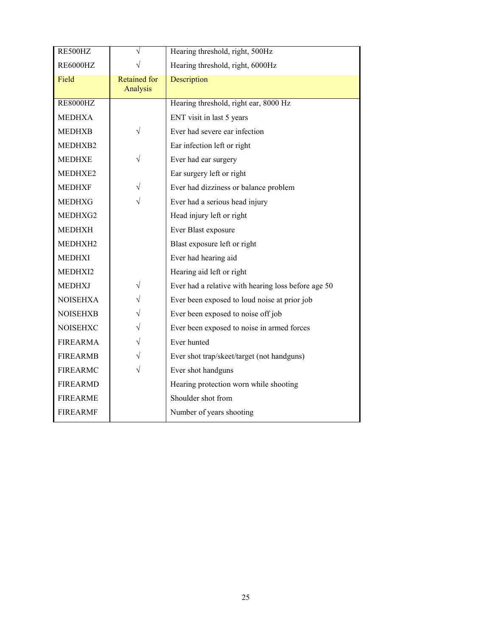| RE500HZ         | $\sqrt{}$                       | Hearing threshold, right, 500Hz                     |
|-----------------|---------------------------------|-----------------------------------------------------|
| <b>RE6000HZ</b> |                                 | Hearing threshold, right, 6000Hz                    |
| Field           | <b>Retained for</b><br>Analysis | Description                                         |
| <b>RE8000HZ</b> |                                 | Hearing threshold, right ear, 8000 Hz               |
| <b>MEDHXA</b>   |                                 | ENT visit in last 5 years                           |
| <b>MEDHXB</b>   | $\sqrt{}$                       | Ever had severe ear infection                       |
| MEDHXB2         |                                 | Ear infection left or right                         |
| <b>MEDHXE</b>   | V                               | Ever had ear surgery                                |
| MEDHXE2         |                                 | Ear surgery left or right                           |
| <b>MEDHXF</b>   |                                 | Ever had dizziness or balance problem               |
| <b>MEDHXG</b>   | $\sqrt{}$                       | Ever had a serious head injury                      |
| MEDHXG2         |                                 | Head injury left or right                           |
| <b>MEDHXH</b>   |                                 | Ever Blast exposure                                 |
| MEDHXH2         |                                 | Blast exposure left or right                        |
| <b>MEDHXI</b>   |                                 | Ever had hearing aid                                |
| MEDHXI2         |                                 | Hearing aid left or right                           |
| <b>MEDHXJ</b>   | $\sqrt{}$                       | Ever had a relative with hearing loss before age 50 |
| <b>NOISEHXA</b> |                                 | Ever been exposed to loud noise at prior job        |
| <b>NOISEHXB</b> |                                 | Ever been exposed to noise off job                  |
| <b>NOISEHXC</b> |                                 | Ever been exposed to noise in armed forces          |
| <b>FIREARMA</b> |                                 | Ever hunted                                         |
| <b>FIREARMB</b> |                                 | Ever shot trap/skeet/target (not handguns)          |
| <b>FIREARMC</b> | V                               | Ever shot handguns                                  |
| <b>FIREARMD</b> |                                 | Hearing protection worn while shooting              |
| <b>FIREARME</b> |                                 | Shoulder shot from                                  |
| <b>FIREARMF</b> |                                 | Number of years shooting                            |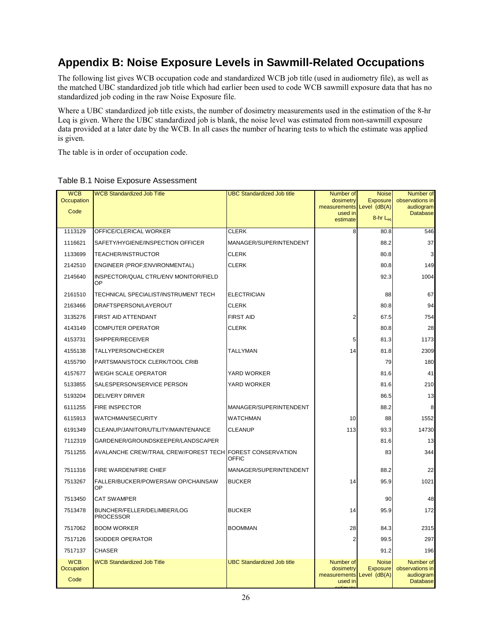## **Appendix B: Noise Exposure Levels in Sawmill-Related Occupations**

The following list gives WCB occupation code and standardized WCB job title (used in audiometry file), as well as the matched UBC standardized job title which had earlier been used to code WCB sawmill exposure data that has no standardized job coding in the raw Noise Exposure file.

Where a UBC standardized job title exists, the number of dosimetry measurements used in the estimation of the 8-hr Leq is given. Where the UBC standardized job is blank, the noise level was estimated from non-sawmill exposure data provided at a later date by the WCB. In all cases the number of hearing tests to which the estimate was applied is given.

The table is in order of occupation code.

| <b>WCB</b><br>Occupation         | <b>WCB Standardized Job Title</b>                         | <b>UBC Standardized Job title</b> | Number of<br>dosimetry                            | <b>Noise</b><br><b>Exposure</b>                    | Number of<br>observations in                                 |
|----------------------------------|-----------------------------------------------------------|-----------------------------------|---------------------------------------------------|----------------------------------------------------|--------------------------------------------------------------|
| Code                             |                                                           |                                   | measurements Level (dB(A)<br>used in              |                                                    | audiogram<br><b>Database</b>                                 |
|                                  |                                                           |                                   | estimate                                          | 8-hr Leg                                           |                                                              |
| 1113129                          | OFFICE/CLERICAL WORKER                                    | <b>CLERK</b>                      | 8                                                 | 80.8                                               | 546                                                          |
| 1116621                          | SAFETY/HYGIENE/INSPECTION OFFICER                         | MANAGER/SUPERINTENDENT            |                                                   | 88.2                                               | 37                                                           |
| 1133699                          | TEACHER/INSTRUCTOR                                        | <b>CLERK</b>                      |                                                   | 80.8                                               | 3                                                            |
| 2142510                          | ENGINEER (PROF;ENVIRONMENTAL)                             | <b>CLERK</b>                      |                                                   | 80.8                                               | 149                                                          |
| 2145640                          | INSPECTOR/QUAL CTRL/ENV MONITOR/FIELD<br>OP               |                                   |                                                   | 92.3                                               | 1004                                                         |
| 2161510                          | TECHNICAL SPECIALIST/INSTRUMENT TECH                      | <b>ELECTRICIAN</b>                |                                                   | 88                                                 | 67                                                           |
| 2163466                          | DRAFTSPERSON/LAYEROUT                                     | <b>CLERK</b>                      |                                                   | 80.8                                               | 94                                                           |
| 3135276                          | FIRST AID ATTENDANT                                       | <b>FIRST AID</b>                  | 2                                                 | 67.5                                               | 754                                                          |
| 4143149                          | <b>COMPUTER OPERATOR</b>                                  | <b>CLERK</b>                      |                                                   | 80.8                                               | 28                                                           |
| 4153731                          | SHIPPER/RECEIVER                                          |                                   | 5                                                 | 81.3                                               | 1173                                                         |
| 4155138                          | TALLYPERSON/CHECKER                                       | TALLYMAN                          | 14                                                | 81.8                                               | 2309                                                         |
| 4155790                          | PARTSMAN/STOCK CLERK/TOOL CRIB                            |                                   |                                                   | 79                                                 | 180                                                          |
| 4157677                          | <b>WEIGH SCALE OPERATOR</b>                               | YARD WORKER                       |                                                   | 81.6                                               | 41                                                           |
| 5133855                          | SALESPERSON/SERVICE PERSON                                | YARD WORKER                       |                                                   | 81.6                                               | 210                                                          |
| 5193204                          | <b>DELIVERY DRIVER</b>                                    |                                   |                                                   | 86.5                                               | 13                                                           |
| 6111255                          | <b>FIRE INSPECTOR</b>                                     | MANAGER/SUPERINTENDENT            |                                                   | 88.2                                               | 8                                                            |
| 6115913                          | <b>WATCHMAN/SECURITY</b>                                  | <b>WATCHMAN</b>                   | 10                                                | 88                                                 | 1552                                                         |
| 6191349                          | CLEANUP/JANITOR/UTILITY/MAINTENANCE                       | <b>CLEANUP</b>                    | 113                                               | 93.3                                               | 14730                                                        |
| 7112319                          | GARDENER/GROUNDSKEEPER/LANDSCAPER                         |                                   |                                                   | 81.6                                               | 13                                                           |
| 7511255                          | AVALANCHE CREW/TRAIL CREW/FOREST TECH FOREST CONSERVATION | OFFIC                             |                                                   | 83                                                 | 344                                                          |
| 7511316                          | FIRE WARDEN/FIRE CHIEF                                    | MANAGER/SUPERINTENDENT            |                                                   | 88.2                                               | 22                                                           |
| 7513267                          | FALLER/BUCKER/POWERSAW OP/CHAINSAW<br>OP                  | <b>BUCKER</b>                     | 14                                                | 95.9                                               | 1021                                                         |
| 7513450                          | <b>CAT SWAMPER</b>                                        |                                   |                                                   | 90                                                 | 48                                                           |
| 7513478                          | BUNCHER/FELLER/DELIMBER/LOG<br><b>PROCESSOR</b>           | <b>BUCKER</b>                     | 14                                                | 95.9                                               | 172                                                          |
| 7517062                          | <b>BOOM WORKER</b>                                        | <b>BOOMMAN</b>                    | 28                                                | 84.3                                               | 2315                                                         |
| 7517126                          | <b>SKIDDER OPERATOR</b>                                   |                                   | $\overline{2}$                                    | 99.5                                               | 297                                                          |
| 7517137                          | <b>CHASER</b>                                             |                                   |                                                   | 91.2                                               | 196                                                          |
| <b>WCB</b><br>Occupation<br>Code | <b>WCB Standardized Job Title</b>                         | <b>UBC Standardized Job title</b> | Number of<br>dosimetry<br>measurements<br>used in | <b>Noise</b><br><b>Exposure</b><br>Level $(dB(A))$ | Number of<br>observations in<br>audiogram<br><b>Database</b> |

#### Table B.1 Noise Exposure Assessment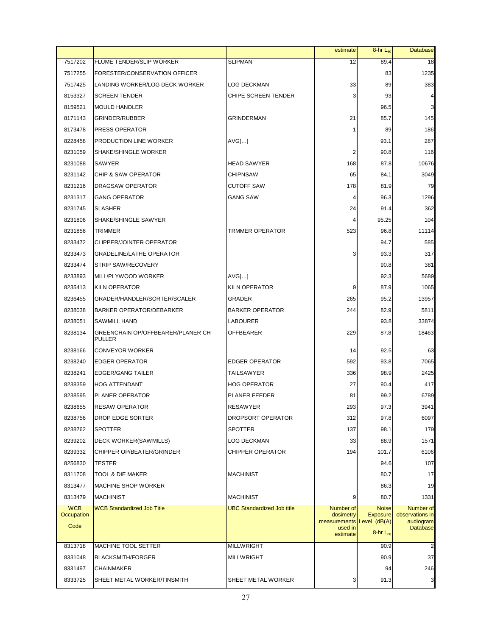|                          |                                                    |                                   | estimate                            | 8-hr L <sub>eq</sub>                 | <b>Database</b>              |
|--------------------------|----------------------------------------------------|-----------------------------------|-------------------------------------|--------------------------------------|------------------------------|
| 7517202                  | <b>FLUME TENDER/SLIP WORKER</b>                    | <b>SLIPMAN</b>                    | 12                                  | 89.4                                 | 18                           |
| 7517255                  | FORESTER/CONSERVATION OFFICER                      |                                   |                                     | 83                                   | 1235                         |
| 7517425                  | LANDING WORKER/LOG DECK WORKER                     | LOG DECKMAN                       | 33                                  | 89                                   | 383                          |
| 8153327                  | <b>SCREEN TENDER</b>                               | CHIPE SCREEN TENDER               | 3                                   | 93                                   | 4                            |
| 8159521                  | <b>MOULD HANDLER</b>                               |                                   |                                     | 96.5                                 | 3                            |
| 8171143                  | <b>GRINDER/RUBBER</b>                              | <b>GRINDERMAN</b>                 | 21                                  | 85.7                                 | 145                          |
| 8173478                  | PRESS OPERATOR                                     |                                   | 1                                   | 89                                   | 186                          |
| 8228458                  | PRODUCTION LINE WORKER                             | AVG[]                             |                                     | 93.1                                 | 287                          |
| 8231059                  | SHAKE/SHINGLE WORKER                               |                                   | 2                                   | 90.8                                 | 116                          |
| 8231088                  | <b>SAWYER</b>                                      | <b>HEAD SAWYER</b>                | 168                                 | 87.8                                 | 10676                        |
| 8231142                  | <b>CHIP &amp; SAW OPERATOR</b>                     | <b>CHIPNSAW</b>                   | 65                                  | 84.1                                 | 3049                         |
| 8231216                  | DRAGSAW OPERATOR                                   | <b>CUTOFF SAW</b>                 | 178                                 | 81.9                                 | 79                           |
| 8231317                  | <b>GANG OPERATOR</b>                               | <b>GANG SAW</b>                   | 4                                   | 96.3                                 | 1296                         |
| 8231745                  | <b>SLASHER</b>                                     |                                   | 24                                  | 91.4                                 | 362                          |
| 8231806                  | SHAKE/SHINGLE SAWYER                               |                                   | 4                                   | 95.25                                | 104                          |
| 8231856                  | TRIMMER                                            | <b>TRMMER OPERATOR</b>            | 523                                 | 96.8                                 | 11114                        |
| 8233472                  | <b>CLIPPER/JOINTER OPERATOR</b>                    |                                   |                                     | 94.7                                 | 585                          |
| 8233473                  | <b>GRADELINE/LATHE OPERATOR</b>                    |                                   | 3                                   | 93.3                                 | 317                          |
| 8233474                  | STRIP SAW/RECOVERY                                 |                                   |                                     | 90.8                                 | 381                          |
| 8233893                  | MILL/PLYWOOD WORKER                                | AVGI                              |                                     | 92.3                                 | 5689                         |
| 8235413                  | <b>KILN OPERATOR</b>                               | KILN OPERATOR                     | 9                                   | 87.9                                 | 1065                         |
| 8236455                  | GRADER/HANDLER/SORTER/SCALER                       | GRADER                            | 265                                 | 95.2                                 | 13957                        |
| 8238038                  | <b>BARKER OPERATOR/DEBARKER</b>                    | <b>BARKER OPERATOR</b>            | 244                                 | 82.9                                 | 5811                         |
| 8238051                  | <b>SAWMILL HAND</b>                                | LABOURER                          |                                     | 93.8                                 | 33874                        |
| 8238134                  | GREENCHAIN OP/OFFBEARER/PLANER CH<br><b>PULLER</b> | OFFBEARER                         | 229                                 | 87.8                                 | 18463                        |
| 8238166                  | <b>CONVEYOR WORKER</b>                             |                                   | 14                                  | 92.5                                 | 63                           |
| 8238240                  | <b>EDGER OPERATOR</b>                              | <b>EDGER OPERATOR</b>             | 592                                 | 93.8                                 | 7065                         |
| 8238241                  | <b>EDGER/GANG TAILER</b>                           | <b>TAILSAWYER</b>                 | 336                                 | 98.9                                 | 2425                         |
| 8238359                  | <b>HOG ATTENDANT</b>                               | <b>HOG OPERATOR</b>               | 27                                  | 90.4                                 | 417                          |
| 8238595                  | <b>PLANER OPERATOR</b>                             | <b>PLANER FEEDER</b>              | 81                                  | 99.2                                 | 6789                         |
| 8238655                  | <b>RESAW OPERATOR</b>                              | <b>RESAWYER</b>                   | 293                                 | 97.3                                 | 3941                         |
| 8238756                  | DROP EDGE SORTER                                   | DROPSORT OPERATOR                 | 312                                 | 97.8                                 | 6097                         |
| 8238762                  | <b>SPOTTER</b>                                     | <b>SPOTTER</b>                    | 137                                 | 98.1                                 | 179                          |
| 8239202                  | DECK WORKER(SAWMILLS)                              | LOG DECKMAN                       | 33                                  | 88.9                                 | 1571                         |
| 8239332                  | CHIPPER OP/BEATER/GRINDER                          | <b>CHIPPER OPERATOR</b>           | 194                                 | 101.7                                | 6106                         |
| 8256830                  | TESTER                                             |                                   |                                     | 94.6                                 | 107                          |
| 8311708                  | TOOL & DIE MAKER                                   | <b>MACHINIST</b>                  |                                     | 80.7                                 | 17                           |
| 8313477                  | MACHINE SHOP WORKER                                |                                   |                                     | 86.3                                 | 19                           |
| 8313479                  | <b>MACHINIST</b>                                   | <b>MACHINIST</b>                  | 9                                   | 80.7                                 | 1331                         |
| <b>WCB</b><br>Occupation | <b>WCB Standardized Job Title</b>                  | <b>UBC Standardized Job title</b> | Number of<br>dosimetry              | <b>Noise</b><br><b>Exposure</b>      | Number of<br>observations in |
| Code                     |                                                    |                                   | measurements<br>used in<br>estimate | Level (dB(A)<br>8-hr L <sub>eq</sub> | audiogram<br><b>Database</b> |
| 8313718                  | MACHINE TOOL SETTER                                | <b>MILLWRIGHT</b>                 |                                     | 90.9                                 | $\overline{\mathbf{c}}$      |
| 8331048                  | <b>BLACKSMITH/FORGER</b>                           | <b>MILLWRIGHT</b>                 |                                     | 90.9                                 | 37                           |
| 8331497                  | <b>CHAINMAKER</b>                                  |                                   |                                     | 94                                   | 246                          |
| 8333725                  | SHEET METAL WORKER/TINSMITH                        | SHEET METAL WORKER                | 3                                   | 91.3                                 | 3                            |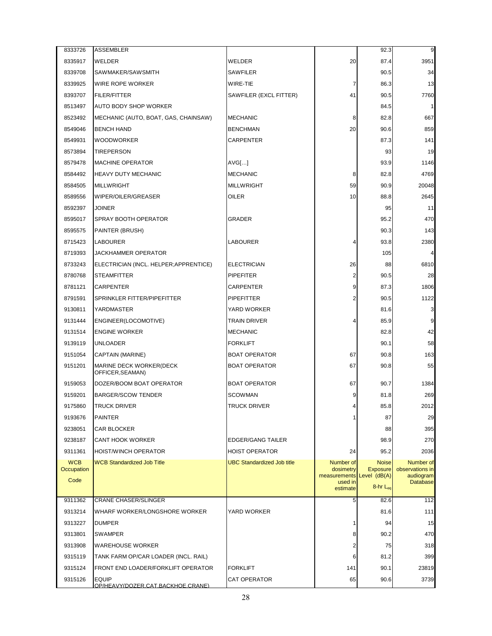| 20<br>3951<br>8335917<br>WELDER<br>WELDER<br>87.4<br>8339708<br>SAWMAKER/SAWSMITH<br><b>SAWFILER</b><br>90.5<br>34<br>WIRE ROPE WORKER<br>WIRE-TIE<br>7<br>86.3<br>13<br>8339925<br>SAWFILER (EXCL FITTER)<br>41<br>8393707<br><b>FILER/FITTER</b><br>90.5<br>7760<br>8513497<br><b>AUTO BODY SHOP WORKER</b><br>84.5<br>1<br><b>MECHANIC</b><br>8<br>82.8<br>667<br>8523492<br>MECHANIC (AUTO, BOAT, GAS, CHAINSAW)<br>20<br><b>BENCH HAND</b><br>90.6<br>859<br>8549046<br><b>BENCHMAN</b><br>8549931<br><b>WOODWORKER</b><br><b>CARPENTER</b><br>87.3<br>141<br>8573894<br>93<br>19<br><b>TIREPERSON</b><br><b>MACHINE OPERATOR</b><br>93.9<br>8579478<br>AVGI<br>1146<br>8584492<br><b>HEAVY DUTY MECHANIC</b><br><b>MECHANIC</b><br>8<br>82.8<br>4769<br>59<br><b>MILLWRIGHT</b><br><b>MILLWRIGHT</b><br>90.9<br>20048<br>8584505<br>WIPER/OILER/GREASER<br>OILER<br>10<br>88.8<br>2645<br>8589556<br>8592397<br>11<br>JOINER<br>95<br>SPRAY BOOTH OPERATOR<br>95.2<br>470<br>8595017<br>GRADER<br>90.3<br>143<br>8595575<br>PAINTER (BRUSH)<br><b>LABOURER</b><br>8715423<br><b>LABOURER</b><br>93.8<br>2380<br>4<br>105<br>8719393<br>JACKHAMMER OPERATOR<br>4<br>8733243<br><b>ELECTRICIAN</b><br>26<br>88<br>6810<br>ELECTRICIAN (INCL. HELPER; APPRENTICE)<br>$\overline{2}$<br>8780768<br><b>STEAMFITTER</b><br><b>PIPEFITER</b><br>90.5<br>28<br>9<br>8781121<br><b>CARPENTER</b><br><b>CARPENTER</b><br>87.3<br>1806<br>$\overline{2}$<br>8791591<br>SPRINKLER FITTER/PIPEFITTER<br><b>PIPEFITTER</b><br>90.5<br>1122<br>9130811<br>YARDMASTER<br>YARD WORKER<br>3<br>81.6<br><b>TRAIN DRIVER</b><br>85.9<br>9<br>9131444<br>ENGINEER(LOCOMOTIVE)<br>4<br><b>ENGINE WORKER</b><br><b>MECHANIC</b><br>82.8<br>42<br>9131514<br><b>FORKLIFT</b><br>9139119<br><b>UNLOADER</b><br>90.1<br>58<br>CAPTAIN (MARINE)<br><b>BOAT OPERATOR</b><br>67<br>90.8<br>163<br>9151054<br>9151201<br><b>BOAT OPERATOR</b><br>67<br>90.8<br>55<br>MARINE DECK WORKER(DECK<br>OFFICER, SEAMAN)<br>9159053<br>DOZER/BOOM BOAT OPERATOR<br><b>BOAT OPERATOR</b><br>67<br>90.7<br>1384<br>9159201<br><b>BARGER/SCOW TENDER</b><br><b>SCOWMAN</b><br>9<br>81.8<br>269<br>85.8<br>9175860<br><b>TRUCK DRIVER</b><br>2012<br><b>TRUCK DRIVER</b><br>Δ<br>$\mathbf{1}$<br>9193676<br><b>PAINTER</b><br>87<br>29<br>9238051<br><b>CAR BLOCKER</b><br>88<br>395<br>9238187<br><b>CANT HOOK WORKER</b><br><b>EDGER/GANG TAILER</b><br>98.9<br>270<br>9311361<br><b>HOIST/WINCH OPERATOR</b><br><b>HOIST OPERATOR</b><br>24<br>95.2<br>2036<br><b>WCB</b><br><b>WCB Standardized Job Title</b><br><b>UBC Standardized Job title</b><br>Number of<br><b>Noise</b><br>Number of<br>Occupation<br>dosimetry<br><b>Exposure</b><br>observations in<br>measurements Level (dB(A)<br>audiogram<br>Code<br>used in<br><b>Database</b><br>$8-hr$ $L_{eq}$<br>estimate<br>9311362<br><b>CRANE CHASER/SLINGER</b><br>5<br>82.6<br>112<br>9313214<br>WHARF WORKER/LONGSHORE WORKER<br>YARD WORKER<br>81.6<br>111<br>9313227<br>94<br>15<br><b>DUMPER</b><br>1<br>9313801<br><b>SWAMPER</b><br>8<br>90.2<br>470<br>9313908<br><b>WAREHOUSE WORKER</b><br>2<br>75<br>318<br>9315119<br>TANK FARM OP/CAR LOADER (INCL. RAIL)<br>6<br>81.2<br>399<br>9315124<br>FRONT END LOADER/FORKLIFT OPERATOR<br><b>FORKLIFT</b><br>141<br>90.1<br>23819 | 8333726 | <b>ASSEMBLER</b> |                     |    | 92.3 | 9    |
|---------------------------------------------------------------------------------------------------------------------------------------------------------------------------------------------------------------------------------------------------------------------------------------------------------------------------------------------------------------------------------------------------------------------------------------------------------------------------------------------------------------------------------------------------------------------------------------------------------------------------------------------------------------------------------------------------------------------------------------------------------------------------------------------------------------------------------------------------------------------------------------------------------------------------------------------------------------------------------------------------------------------------------------------------------------------------------------------------------------------------------------------------------------------------------------------------------------------------------------------------------------------------------------------------------------------------------------------------------------------------------------------------------------------------------------------------------------------------------------------------------------------------------------------------------------------------------------------------------------------------------------------------------------------------------------------------------------------------------------------------------------------------------------------------------------------------------------------------------------------------------------------------------------------------------------------------------------------------------------------------------------------------------------------------------------------------------------------------------------------------------------------------------------------------------------------------------------------------------------------------------------------------------------------------------------------------------------------------------------------------------------------------------------------------------------------------------------------------------------------------------------------------------------------------------------------------------------------------------------------------------------------------------------------------------------------------------------------------------------------------------------------------------------------------------------------------------------------------------------------------------------------------------------------------------------------------------------------------------------------------------------------------------------------------------------------------------------------------------------------------------------------------------------------------------------------------------------------------------------------------------------------------------------------------------------|---------|------------------|---------------------|----|------|------|
|                                                                                                                                                                                                                                                                                                                                                                                                                                                                                                                                                                                                                                                                                                                                                                                                                                                                                                                                                                                                                                                                                                                                                                                                                                                                                                                                                                                                                                                                                                                                                                                                                                                                                                                                                                                                                                                                                                                                                                                                                                                                                                                                                                                                                                                                                                                                                                                                                                                                                                                                                                                                                                                                                                                                                                                                                                                                                                                                                                                                                                                                                                                                                                                                                                                                                                               |         |                  |                     |    |      |      |
|                                                                                                                                                                                                                                                                                                                                                                                                                                                                                                                                                                                                                                                                                                                                                                                                                                                                                                                                                                                                                                                                                                                                                                                                                                                                                                                                                                                                                                                                                                                                                                                                                                                                                                                                                                                                                                                                                                                                                                                                                                                                                                                                                                                                                                                                                                                                                                                                                                                                                                                                                                                                                                                                                                                                                                                                                                                                                                                                                                                                                                                                                                                                                                                                                                                                                                               |         |                  |                     |    |      |      |
|                                                                                                                                                                                                                                                                                                                                                                                                                                                                                                                                                                                                                                                                                                                                                                                                                                                                                                                                                                                                                                                                                                                                                                                                                                                                                                                                                                                                                                                                                                                                                                                                                                                                                                                                                                                                                                                                                                                                                                                                                                                                                                                                                                                                                                                                                                                                                                                                                                                                                                                                                                                                                                                                                                                                                                                                                                                                                                                                                                                                                                                                                                                                                                                                                                                                                                               |         |                  |                     |    |      |      |
|                                                                                                                                                                                                                                                                                                                                                                                                                                                                                                                                                                                                                                                                                                                                                                                                                                                                                                                                                                                                                                                                                                                                                                                                                                                                                                                                                                                                                                                                                                                                                                                                                                                                                                                                                                                                                                                                                                                                                                                                                                                                                                                                                                                                                                                                                                                                                                                                                                                                                                                                                                                                                                                                                                                                                                                                                                                                                                                                                                                                                                                                                                                                                                                                                                                                                                               |         |                  |                     |    |      |      |
|                                                                                                                                                                                                                                                                                                                                                                                                                                                                                                                                                                                                                                                                                                                                                                                                                                                                                                                                                                                                                                                                                                                                                                                                                                                                                                                                                                                                                                                                                                                                                                                                                                                                                                                                                                                                                                                                                                                                                                                                                                                                                                                                                                                                                                                                                                                                                                                                                                                                                                                                                                                                                                                                                                                                                                                                                                                                                                                                                                                                                                                                                                                                                                                                                                                                                                               |         |                  |                     |    |      |      |
|                                                                                                                                                                                                                                                                                                                                                                                                                                                                                                                                                                                                                                                                                                                                                                                                                                                                                                                                                                                                                                                                                                                                                                                                                                                                                                                                                                                                                                                                                                                                                                                                                                                                                                                                                                                                                                                                                                                                                                                                                                                                                                                                                                                                                                                                                                                                                                                                                                                                                                                                                                                                                                                                                                                                                                                                                                                                                                                                                                                                                                                                                                                                                                                                                                                                                                               |         |                  |                     |    |      |      |
|                                                                                                                                                                                                                                                                                                                                                                                                                                                                                                                                                                                                                                                                                                                                                                                                                                                                                                                                                                                                                                                                                                                                                                                                                                                                                                                                                                                                                                                                                                                                                                                                                                                                                                                                                                                                                                                                                                                                                                                                                                                                                                                                                                                                                                                                                                                                                                                                                                                                                                                                                                                                                                                                                                                                                                                                                                                                                                                                                                                                                                                                                                                                                                                                                                                                                                               |         |                  |                     |    |      |      |
|                                                                                                                                                                                                                                                                                                                                                                                                                                                                                                                                                                                                                                                                                                                                                                                                                                                                                                                                                                                                                                                                                                                                                                                                                                                                                                                                                                                                                                                                                                                                                                                                                                                                                                                                                                                                                                                                                                                                                                                                                                                                                                                                                                                                                                                                                                                                                                                                                                                                                                                                                                                                                                                                                                                                                                                                                                                                                                                                                                                                                                                                                                                                                                                                                                                                                                               |         |                  |                     |    |      |      |
|                                                                                                                                                                                                                                                                                                                                                                                                                                                                                                                                                                                                                                                                                                                                                                                                                                                                                                                                                                                                                                                                                                                                                                                                                                                                                                                                                                                                                                                                                                                                                                                                                                                                                                                                                                                                                                                                                                                                                                                                                                                                                                                                                                                                                                                                                                                                                                                                                                                                                                                                                                                                                                                                                                                                                                                                                                                                                                                                                                                                                                                                                                                                                                                                                                                                                                               |         |                  |                     |    |      |      |
|                                                                                                                                                                                                                                                                                                                                                                                                                                                                                                                                                                                                                                                                                                                                                                                                                                                                                                                                                                                                                                                                                                                                                                                                                                                                                                                                                                                                                                                                                                                                                                                                                                                                                                                                                                                                                                                                                                                                                                                                                                                                                                                                                                                                                                                                                                                                                                                                                                                                                                                                                                                                                                                                                                                                                                                                                                                                                                                                                                                                                                                                                                                                                                                                                                                                                                               |         |                  |                     |    |      |      |
|                                                                                                                                                                                                                                                                                                                                                                                                                                                                                                                                                                                                                                                                                                                                                                                                                                                                                                                                                                                                                                                                                                                                                                                                                                                                                                                                                                                                                                                                                                                                                                                                                                                                                                                                                                                                                                                                                                                                                                                                                                                                                                                                                                                                                                                                                                                                                                                                                                                                                                                                                                                                                                                                                                                                                                                                                                                                                                                                                                                                                                                                                                                                                                                                                                                                                                               |         |                  |                     |    |      |      |
|                                                                                                                                                                                                                                                                                                                                                                                                                                                                                                                                                                                                                                                                                                                                                                                                                                                                                                                                                                                                                                                                                                                                                                                                                                                                                                                                                                                                                                                                                                                                                                                                                                                                                                                                                                                                                                                                                                                                                                                                                                                                                                                                                                                                                                                                                                                                                                                                                                                                                                                                                                                                                                                                                                                                                                                                                                                                                                                                                                                                                                                                                                                                                                                                                                                                                                               |         |                  |                     |    |      |      |
|                                                                                                                                                                                                                                                                                                                                                                                                                                                                                                                                                                                                                                                                                                                                                                                                                                                                                                                                                                                                                                                                                                                                                                                                                                                                                                                                                                                                                                                                                                                                                                                                                                                                                                                                                                                                                                                                                                                                                                                                                                                                                                                                                                                                                                                                                                                                                                                                                                                                                                                                                                                                                                                                                                                                                                                                                                                                                                                                                                                                                                                                                                                                                                                                                                                                                                               |         |                  |                     |    |      |      |
|                                                                                                                                                                                                                                                                                                                                                                                                                                                                                                                                                                                                                                                                                                                                                                                                                                                                                                                                                                                                                                                                                                                                                                                                                                                                                                                                                                                                                                                                                                                                                                                                                                                                                                                                                                                                                                                                                                                                                                                                                                                                                                                                                                                                                                                                                                                                                                                                                                                                                                                                                                                                                                                                                                                                                                                                                                                                                                                                                                                                                                                                                                                                                                                                                                                                                                               |         |                  |                     |    |      |      |
|                                                                                                                                                                                                                                                                                                                                                                                                                                                                                                                                                                                                                                                                                                                                                                                                                                                                                                                                                                                                                                                                                                                                                                                                                                                                                                                                                                                                                                                                                                                                                                                                                                                                                                                                                                                                                                                                                                                                                                                                                                                                                                                                                                                                                                                                                                                                                                                                                                                                                                                                                                                                                                                                                                                                                                                                                                                                                                                                                                                                                                                                                                                                                                                                                                                                                                               |         |                  |                     |    |      |      |
|                                                                                                                                                                                                                                                                                                                                                                                                                                                                                                                                                                                                                                                                                                                                                                                                                                                                                                                                                                                                                                                                                                                                                                                                                                                                                                                                                                                                                                                                                                                                                                                                                                                                                                                                                                                                                                                                                                                                                                                                                                                                                                                                                                                                                                                                                                                                                                                                                                                                                                                                                                                                                                                                                                                                                                                                                                                                                                                                                                                                                                                                                                                                                                                                                                                                                                               |         |                  |                     |    |      |      |
|                                                                                                                                                                                                                                                                                                                                                                                                                                                                                                                                                                                                                                                                                                                                                                                                                                                                                                                                                                                                                                                                                                                                                                                                                                                                                                                                                                                                                                                                                                                                                                                                                                                                                                                                                                                                                                                                                                                                                                                                                                                                                                                                                                                                                                                                                                                                                                                                                                                                                                                                                                                                                                                                                                                                                                                                                                                                                                                                                                                                                                                                                                                                                                                                                                                                                                               |         |                  |                     |    |      |      |
|                                                                                                                                                                                                                                                                                                                                                                                                                                                                                                                                                                                                                                                                                                                                                                                                                                                                                                                                                                                                                                                                                                                                                                                                                                                                                                                                                                                                                                                                                                                                                                                                                                                                                                                                                                                                                                                                                                                                                                                                                                                                                                                                                                                                                                                                                                                                                                                                                                                                                                                                                                                                                                                                                                                                                                                                                                                                                                                                                                                                                                                                                                                                                                                                                                                                                                               |         |                  |                     |    |      |      |
|                                                                                                                                                                                                                                                                                                                                                                                                                                                                                                                                                                                                                                                                                                                                                                                                                                                                                                                                                                                                                                                                                                                                                                                                                                                                                                                                                                                                                                                                                                                                                                                                                                                                                                                                                                                                                                                                                                                                                                                                                                                                                                                                                                                                                                                                                                                                                                                                                                                                                                                                                                                                                                                                                                                                                                                                                                                                                                                                                                                                                                                                                                                                                                                                                                                                                                               |         |                  |                     |    |      |      |
|                                                                                                                                                                                                                                                                                                                                                                                                                                                                                                                                                                                                                                                                                                                                                                                                                                                                                                                                                                                                                                                                                                                                                                                                                                                                                                                                                                                                                                                                                                                                                                                                                                                                                                                                                                                                                                                                                                                                                                                                                                                                                                                                                                                                                                                                                                                                                                                                                                                                                                                                                                                                                                                                                                                                                                                                                                                                                                                                                                                                                                                                                                                                                                                                                                                                                                               |         |                  |                     |    |      |      |
|                                                                                                                                                                                                                                                                                                                                                                                                                                                                                                                                                                                                                                                                                                                                                                                                                                                                                                                                                                                                                                                                                                                                                                                                                                                                                                                                                                                                                                                                                                                                                                                                                                                                                                                                                                                                                                                                                                                                                                                                                                                                                                                                                                                                                                                                                                                                                                                                                                                                                                                                                                                                                                                                                                                                                                                                                                                                                                                                                                                                                                                                                                                                                                                                                                                                                                               |         |                  |                     |    |      |      |
|                                                                                                                                                                                                                                                                                                                                                                                                                                                                                                                                                                                                                                                                                                                                                                                                                                                                                                                                                                                                                                                                                                                                                                                                                                                                                                                                                                                                                                                                                                                                                                                                                                                                                                                                                                                                                                                                                                                                                                                                                                                                                                                                                                                                                                                                                                                                                                                                                                                                                                                                                                                                                                                                                                                                                                                                                                                                                                                                                                                                                                                                                                                                                                                                                                                                                                               |         |                  |                     |    |      |      |
|                                                                                                                                                                                                                                                                                                                                                                                                                                                                                                                                                                                                                                                                                                                                                                                                                                                                                                                                                                                                                                                                                                                                                                                                                                                                                                                                                                                                                                                                                                                                                                                                                                                                                                                                                                                                                                                                                                                                                                                                                                                                                                                                                                                                                                                                                                                                                                                                                                                                                                                                                                                                                                                                                                                                                                                                                                                                                                                                                                                                                                                                                                                                                                                                                                                                                                               |         |                  |                     |    |      |      |
|                                                                                                                                                                                                                                                                                                                                                                                                                                                                                                                                                                                                                                                                                                                                                                                                                                                                                                                                                                                                                                                                                                                                                                                                                                                                                                                                                                                                                                                                                                                                                                                                                                                                                                                                                                                                                                                                                                                                                                                                                                                                                                                                                                                                                                                                                                                                                                                                                                                                                                                                                                                                                                                                                                                                                                                                                                                                                                                                                                                                                                                                                                                                                                                                                                                                                                               |         |                  |                     |    |      |      |
|                                                                                                                                                                                                                                                                                                                                                                                                                                                                                                                                                                                                                                                                                                                                                                                                                                                                                                                                                                                                                                                                                                                                                                                                                                                                                                                                                                                                                                                                                                                                                                                                                                                                                                                                                                                                                                                                                                                                                                                                                                                                                                                                                                                                                                                                                                                                                                                                                                                                                                                                                                                                                                                                                                                                                                                                                                                                                                                                                                                                                                                                                                                                                                                                                                                                                                               |         |                  |                     |    |      |      |
|                                                                                                                                                                                                                                                                                                                                                                                                                                                                                                                                                                                                                                                                                                                                                                                                                                                                                                                                                                                                                                                                                                                                                                                                                                                                                                                                                                                                                                                                                                                                                                                                                                                                                                                                                                                                                                                                                                                                                                                                                                                                                                                                                                                                                                                                                                                                                                                                                                                                                                                                                                                                                                                                                                                                                                                                                                                                                                                                                                                                                                                                                                                                                                                                                                                                                                               |         |                  |                     |    |      |      |
|                                                                                                                                                                                                                                                                                                                                                                                                                                                                                                                                                                                                                                                                                                                                                                                                                                                                                                                                                                                                                                                                                                                                                                                                                                                                                                                                                                                                                                                                                                                                                                                                                                                                                                                                                                                                                                                                                                                                                                                                                                                                                                                                                                                                                                                                                                                                                                                                                                                                                                                                                                                                                                                                                                                                                                                                                                                                                                                                                                                                                                                                                                                                                                                                                                                                                                               |         |                  |                     |    |      |      |
|                                                                                                                                                                                                                                                                                                                                                                                                                                                                                                                                                                                                                                                                                                                                                                                                                                                                                                                                                                                                                                                                                                                                                                                                                                                                                                                                                                                                                                                                                                                                                                                                                                                                                                                                                                                                                                                                                                                                                                                                                                                                                                                                                                                                                                                                                                                                                                                                                                                                                                                                                                                                                                                                                                                                                                                                                                                                                                                                                                                                                                                                                                                                                                                                                                                                                                               |         |                  |                     |    |      |      |
|                                                                                                                                                                                                                                                                                                                                                                                                                                                                                                                                                                                                                                                                                                                                                                                                                                                                                                                                                                                                                                                                                                                                                                                                                                                                                                                                                                                                                                                                                                                                                                                                                                                                                                                                                                                                                                                                                                                                                                                                                                                                                                                                                                                                                                                                                                                                                                                                                                                                                                                                                                                                                                                                                                                                                                                                                                                                                                                                                                                                                                                                                                                                                                                                                                                                                                               |         |                  |                     |    |      |      |
|                                                                                                                                                                                                                                                                                                                                                                                                                                                                                                                                                                                                                                                                                                                                                                                                                                                                                                                                                                                                                                                                                                                                                                                                                                                                                                                                                                                                                                                                                                                                                                                                                                                                                                                                                                                                                                                                                                                                                                                                                                                                                                                                                                                                                                                                                                                                                                                                                                                                                                                                                                                                                                                                                                                                                                                                                                                                                                                                                                                                                                                                                                                                                                                                                                                                                                               |         |                  |                     |    |      |      |
|                                                                                                                                                                                                                                                                                                                                                                                                                                                                                                                                                                                                                                                                                                                                                                                                                                                                                                                                                                                                                                                                                                                                                                                                                                                                                                                                                                                                                                                                                                                                                                                                                                                                                                                                                                                                                                                                                                                                                                                                                                                                                                                                                                                                                                                                                                                                                                                                                                                                                                                                                                                                                                                                                                                                                                                                                                                                                                                                                                                                                                                                                                                                                                                                                                                                                                               |         |                  |                     |    |      |      |
|                                                                                                                                                                                                                                                                                                                                                                                                                                                                                                                                                                                                                                                                                                                                                                                                                                                                                                                                                                                                                                                                                                                                                                                                                                                                                                                                                                                                                                                                                                                                                                                                                                                                                                                                                                                                                                                                                                                                                                                                                                                                                                                                                                                                                                                                                                                                                                                                                                                                                                                                                                                                                                                                                                                                                                                                                                                                                                                                                                                                                                                                                                                                                                                                                                                                                                               |         |                  |                     |    |      |      |
|                                                                                                                                                                                                                                                                                                                                                                                                                                                                                                                                                                                                                                                                                                                                                                                                                                                                                                                                                                                                                                                                                                                                                                                                                                                                                                                                                                                                                                                                                                                                                                                                                                                                                                                                                                                                                                                                                                                                                                                                                                                                                                                                                                                                                                                                                                                                                                                                                                                                                                                                                                                                                                                                                                                                                                                                                                                                                                                                                                                                                                                                                                                                                                                                                                                                                                               |         |                  |                     |    |      |      |
|                                                                                                                                                                                                                                                                                                                                                                                                                                                                                                                                                                                                                                                                                                                                                                                                                                                                                                                                                                                                                                                                                                                                                                                                                                                                                                                                                                                                                                                                                                                                                                                                                                                                                                                                                                                                                                                                                                                                                                                                                                                                                                                                                                                                                                                                                                                                                                                                                                                                                                                                                                                                                                                                                                                                                                                                                                                                                                                                                                                                                                                                                                                                                                                                                                                                                                               |         |                  |                     |    |      |      |
|                                                                                                                                                                                                                                                                                                                                                                                                                                                                                                                                                                                                                                                                                                                                                                                                                                                                                                                                                                                                                                                                                                                                                                                                                                                                                                                                                                                                                                                                                                                                                                                                                                                                                                                                                                                                                                                                                                                                                                                                                                                                                                                                                                                                                                                                                                                                                                                                                                                                                                                                                                                                                                                                                                                                                                                                                                                                                                                                                                                                                                                                                                                                                                                                                                                                                                               |         |                  |                     |    |      |      |
|                                                                                                                                                                                                                                                                                                                                                                                                                                                                                                                                                                                                                                                                                                                                                                                                                                                                                                                                                                                                                                                                                                                                                                                                                                                                                                                                                                                                                                                                                                                                                                                                                                                                                                                                                                                                                                                                                                                                                                                                                                                                                                                                                                                                                                                                                                                                                                                                                                                                                                                                                                                                                                                                                                                                                                                                                                                                                                                                                                                                                                                                                                                                                                                                                                                                                                               |         |                  |                     |    |      |      |
|                                                                                                                                                                                                                                                                                                                                                                                                                                                                                                                                                                                                                                                                                                                                                                                                                                                                                                                                                                                                                                                                                                                                                                                                                                                                                                                                                                                                                                                                                                                                                                                                                                                                                                                                                                                                                                                                                                                                                                                                                                                                                                                                                                                                                                                                                                                                                                                                                                                                                                                                                                                                                                                                                                                                                                                                                                                                                                                                                                                                                                                                                                                                                                                                                                                                                                               |         |                  |                     |    |      |      |
|                                                                                                                                                                                                                                                                                                                                                                                                                                                                                                                                                                                                                                                                                                                                                                                                                                                                                                                                                                                                                                                                                                                                                                                                                                                                                                                                                                                                                                                                                                                                                                                                                                                                                                                                                                                                                                                                                                                                                                                                                                                                                                                                                                                                                                                                                                                                                                                                                                                                                                                                                                                                                                                                                                                                                                                                                                                                                                                                                                                                                                                                                                                                                                                                                                                                                                               |         |                  |                     |    |      |      |
|                                                                                                                                                                                                                                                                                                                                                                                                                                                                                                                                                                                                                                                                                                                                                                                                                                                                                                                                                                                                                                                                                                                                                                                                                                                                                                                                                                                                                                                                                                                                                                                                                                                                                                                                                                                                                                                                                                                                                                                                                                                                                                                                                                                                                                                                                                                                                                                                                                                                                                                                                                                                                                                                                                                                                                                                                                                                                                                                                                                                                                                                                                                                                                                                                                                                                                               |         |                  |                     |    |      |      |
|                                                                                                                                                                                                                                                                                                                                                                                                                                                                                                                                                                                                                                                                                                                                                                                                                                                                                                                                                                                                                                                                                                                                                                                                                                                                                                                                                                                                                                                                                                                                                                                                                                                                                                                                                                                                                                                                                                                                                                                                                                                                                                                                                                                                                                                                                                                                                                                                                                                                                                                                                                                                                                                                                                                                                                                                                                                                                                                                                                                                                                                                                                                                                                                                                                                                                                               |         |                  |                     |    |      |      |
|                                                                                                                                                                                                                                                                                                                                                                                                                                                                                                                                                                                                                                                                                                                                                                                                                                                                                                                                                                                                                                                                                                                                                                                                                                                                                                                                                                                                                                                                                                                                                                                                                                                                                                                                                                                                                                                                                                                                                                                                                                                                                                                                                                                                                                                                                                                                                                                                                                                                                                                                                                                                                                                                                                                                                                                                                                                                                                                                                                                                                                                                                                                                                                                                                                                                                                               |         |                  |                     |    |      |      |
|                                                                                                                                                                                                                                                                                                                                                                                                                                                                                                                                                                                                                                                                                                                                                                                                                                                                                                                                                                                                                                                                                                                                                                                                                                                                                                                                                                                                                                                                                                                                                                                                                                                                                                                                                                                                                                                                                                                                                                                                                                                                                                                                                                                                                                                                                                                                                                                                                                                                                                                                                                                                                                                                                                                                                                                                                                                                                                                                                                                                                                                                                                                                                                                                                                                                                                               |         |                  |                     |    |      |      |
|                                                                                                                                                                                                                                                                                                                                                                                                                                                                                                                                                                                                                                                                                                                                                                                                                                                                                                                                                                                                                                                                                                                                                                                                                                                                                                                                                                                                                                                                                                                                                                                                                                                                                                                                                                                                                                                                                                                                                                                                                                                                                                                                                                                                                                                                                                                                                                                                                                                                                                                                                                                                                                                                                                                                                                                                                                                                                                                                                                                                                                                                                                                                                                                                                                                                                                               |         |                  |                     |    |      |      |
|                                                                                                                                                                                                                                                                                                                                                                                                                                                                                                                                                                                                                                                                                                                                                                                                                                                                                                                                                                                                                                                                                                                                                                                                                                                                                                                                                                                                                                                                                                                                                                                                                                                                                                                                                                                                                                                                                                                                                                                                                                                                                                                                                                                                                                                                                                                                                                                                                                                                                                                                                                                                                                                                                                                                                                                                                                                                                                                                                                                                                                                                                                                                                                                                                                                                                                               |         |                  |                     |    |      |      |
|                                                                                                                                                                                                                                                                                                                                                                                                                                                                                                                                                                                                                                                                                                                                                                                                                                                                                                                                                                                                                                                                                                                                                                                                                                                                                                                                                                                                                                                                                                                                                                                                                                                                                                                                                                                                                                                                                                                                                                                                                                                                                                                                                                                                                                                                                                                                                                                                                                                                                                                                                                                                                                                                                                                                                                                                                                                                                                                                                                                                                                                                                                                                                                                                                                                                                                               |         |                  |                     |    |      |      |
| OP/HEAVY(DOZER.CAT.BACKHOE.CRANE)                                                                                                                                                                                                                                                                                                                                                                                                                                                                                                                                                                                                                                                                                                                                                                                                                                                                                                                                                                                                                                                                                                                                                                                                                                                                                                                                                                                                                                                                                                                                                                                                                                                                                                                                                                                                                                                                                                                                                                                                                                                                                                                                                                                                                                                                                                                                                                                                                                                                                                                                                                                                                                                                                                                                                                                                                                                                                                                                                                                                                                                                                                                                                                                                                                                                             | 9315126 | <b>EQUIP</b>     | <b>CAT OPERATOR</b> | 65 | 90.6 | 3739 |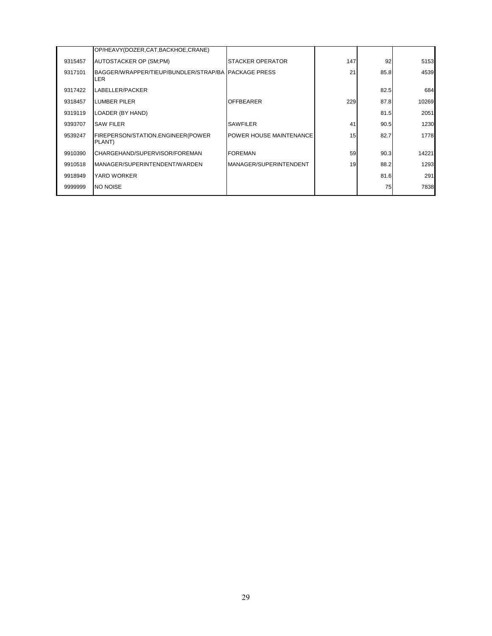|         | OP/HEAVY(DOZER,CAT,BACKHOE,CRANE)                            |                         |     |      |       |
|---------|--------------------------------------------------------------|-------------------------|-----|------|-------|
| 9315457 | AUTOSTACKER OP (SM;PM)                                       | STACKER OPERATOR        | 147 | 92   | 5153  |
| 9317101 | BAGGER/WRAPPER/TIEUP/BUNDLER/STRAP/BA IPACKAGE PRESS<br>LER. |                         | 21  | 85.8 | 4539  |
| 9317422 | LABELLER/PACKER                                              |                         |     | 82.5 | 684   |
| 9318457 | <b>LUMBER PILER</b>                                          | <b>OFFBEARER</b>        | 229 | 87.8 | 10269 |
| 9319119 | LOADER (BY HAND)                                             |                         |     | 81.5 | 2051  |
| 9393707 | <b>SAW FILER</b>                                             | <b>SAWFILER</b>         | 41  | 90.5 | 1230  |
| 9539247 | FIREPERSON/STATION.ENGINEER(POWER<br>PLANT)                  | POWER HOUSE MAINTENANCE | 15  | 82.7 | 1778  |
| 9910390 | CHARGEHAND/SUPERVISOR/FOREMAN                                | <b>FOREMAN</b>          | 59  | 90.3 | 14221 |
| 9910518 | MANAGER/SUPERINTENDENT/WARDEN                                | MANAGER/SUPERINTENDENT  | 19  | 88.2 | 1293  |
| 9918949 | YARD WORKER                                                  |                         |     | 81.6 | 291   |
| 9999999 | <b>NO NOISE</b>                                              |                         |     | 75   | 7838  |